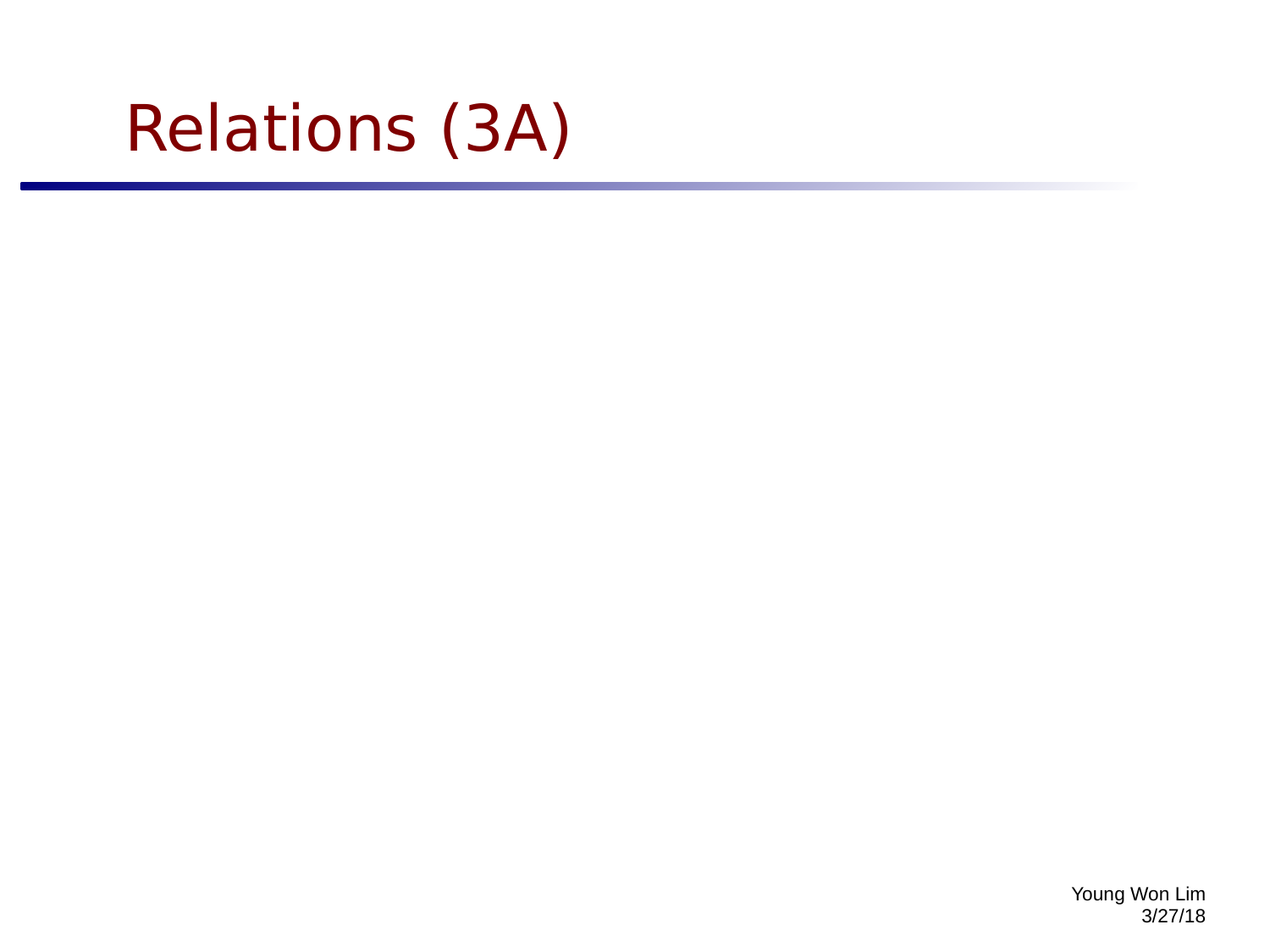# Relations (3A)

Young Won Lim 3/27/18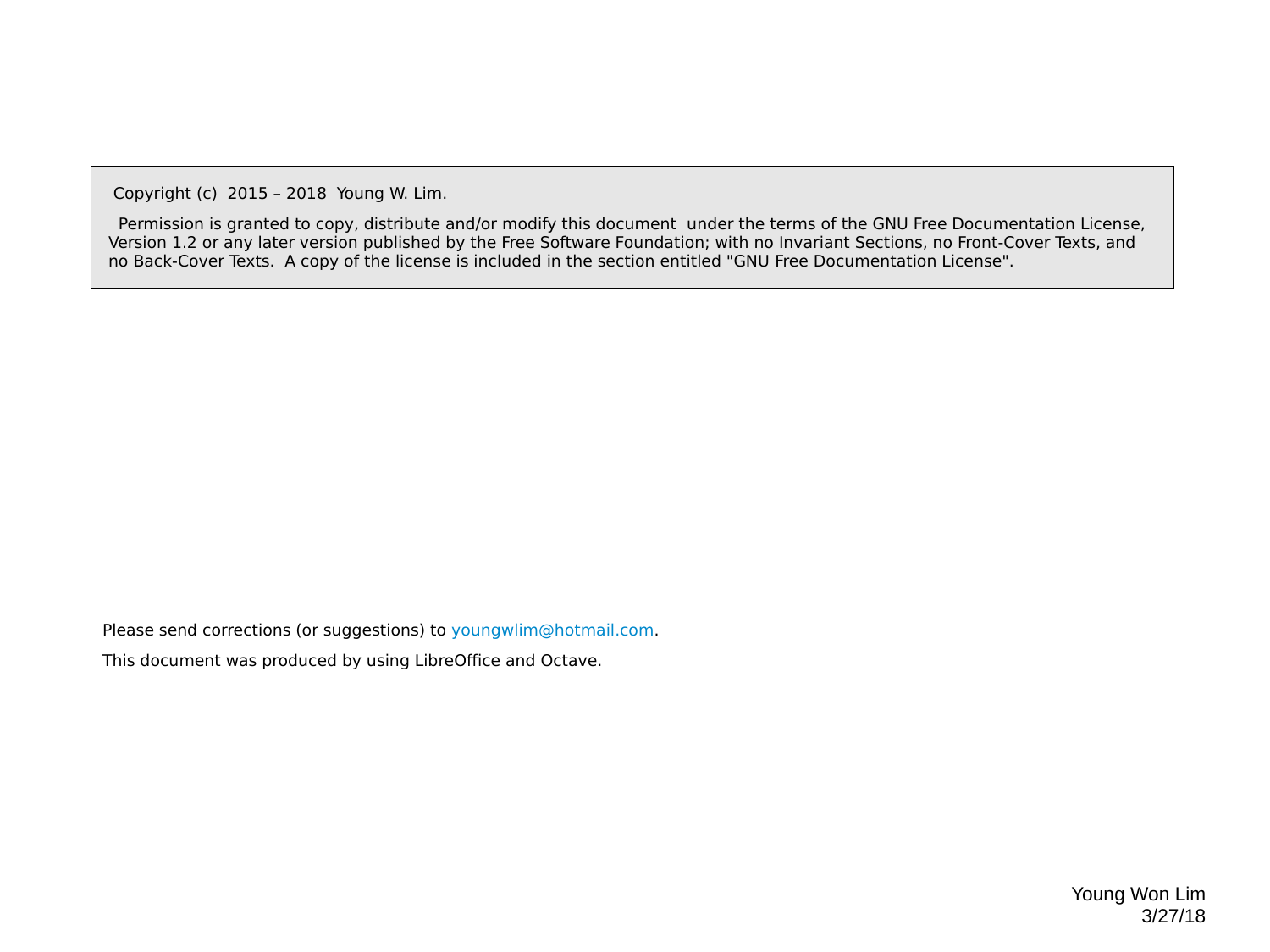Copyright (c) 2015 – 2018 Young W. Lim.

 Permission is granted to copy, distribute and/or modify this document under the terms of the GNU Free Documentation License, Version 1.2 or any later version published by the Free Software Foundation; with no Invariant Sections, no Front-Cover Texts, and no Back-Cover Texts. A copy of the license is included in the section entitled "GNU Free Documentation License".

Please send corrections (or suggestions) to [youngwlim@hotmail.com](mailto:youngwlim@hotmail.com).

This document was produced by using LibreOffice and Octave.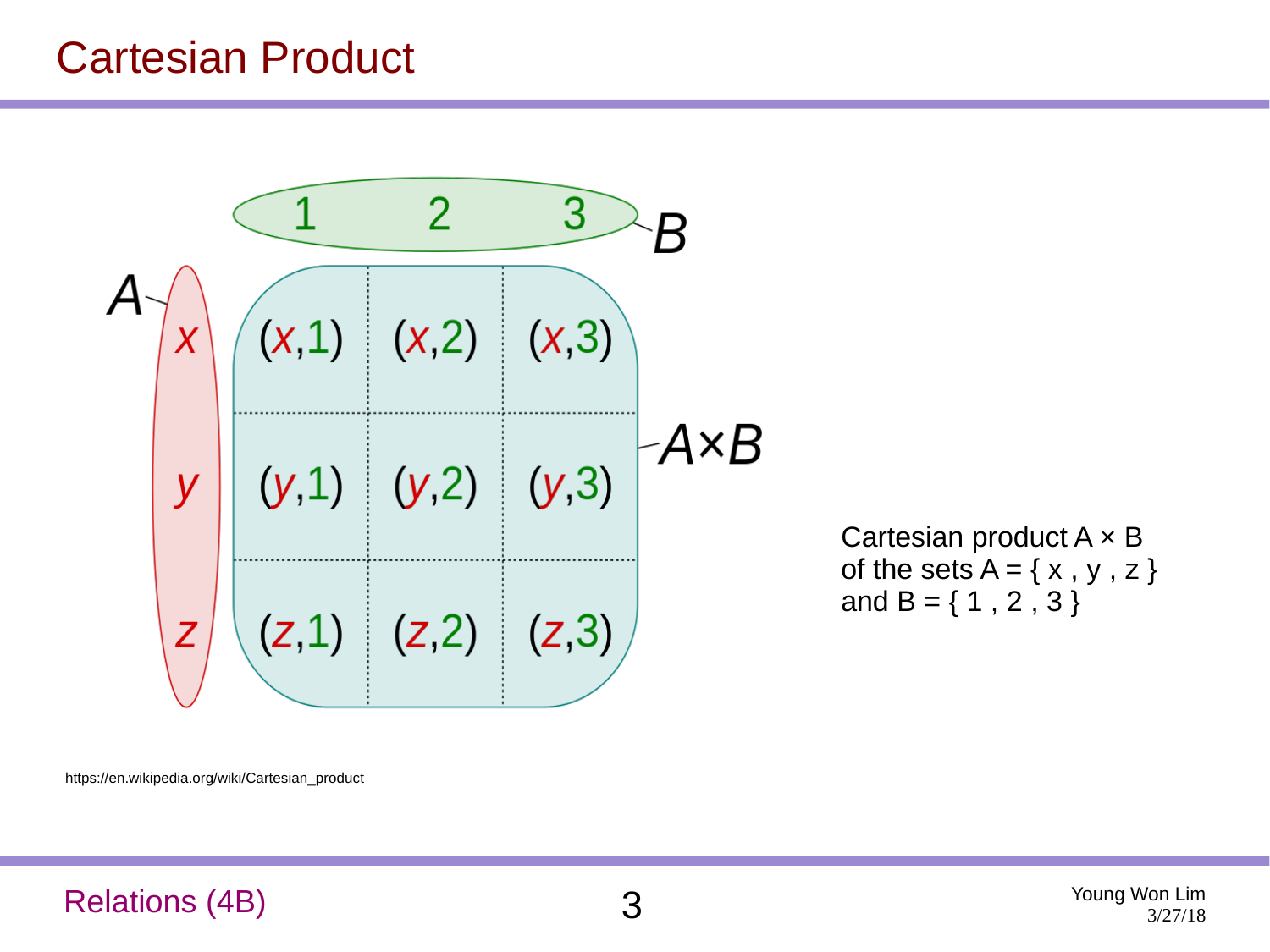#### Cartesian Product



https://en.wikipedia.org/wiki/Cartesian\_product

#### Relations (4B) 3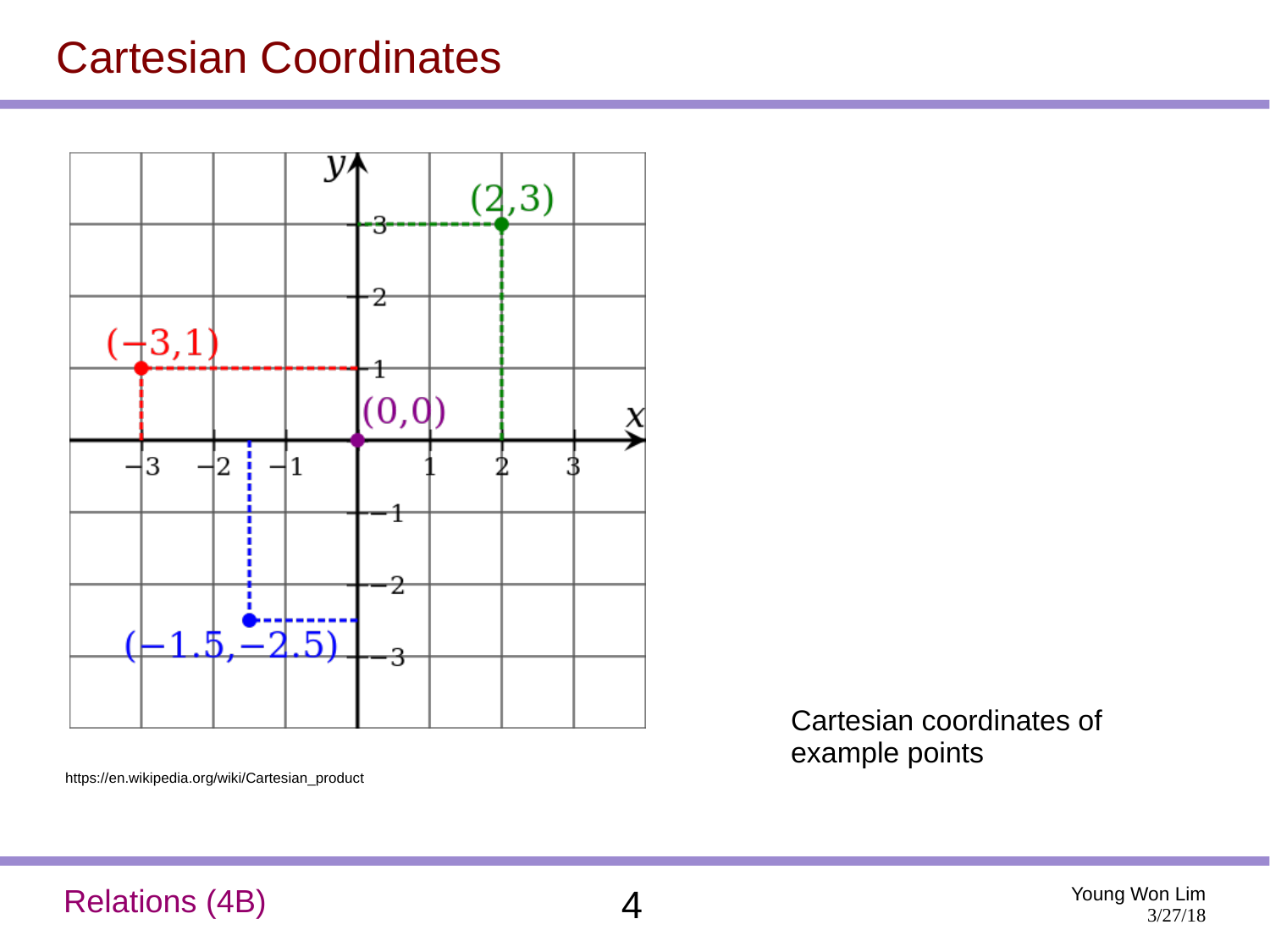#### Cartesian Coordinates



Cartesian coordinates of example points

https://en.wikipedia.org/wiki/Cartesian\_product

#### Relations (4B) 4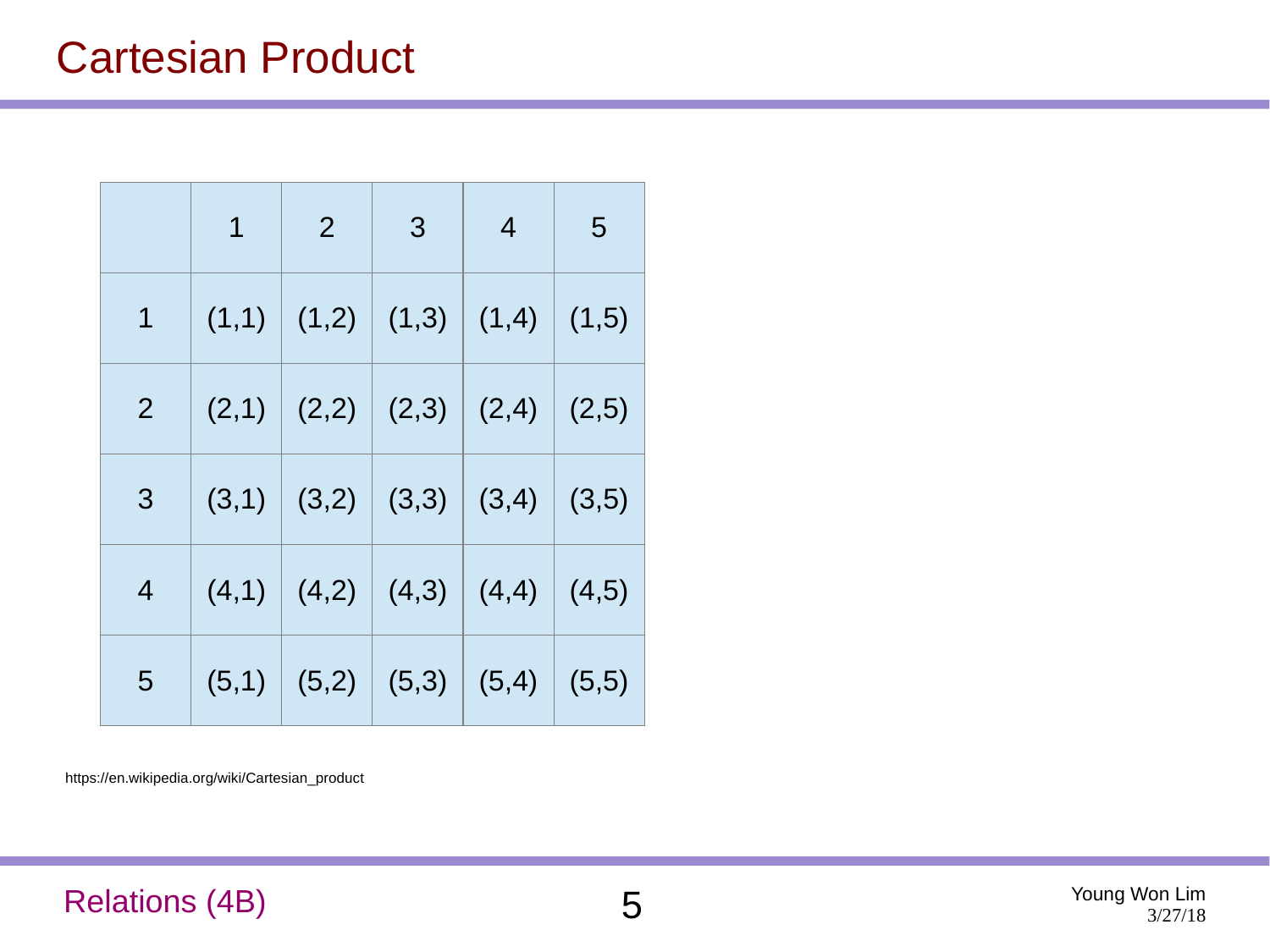#### Cartesian Product

|                | $\mathbf 1$                                                                | 2 <sup>1</sup> | $\overline{3}$                          | $\overline{4}$ | -5    |
|----------------|----------------------------------------------------------------------------|----------------|-----------------------------------------|----------------|-------|
| $1 -$          | $\mid$ $(1,1)$ $\mid$ $(1,2)$ $\mid$ $(1,3)$ $\mid$ $(1,4)$ $\mid$ $(1,5)$ |                |                                         |                |       |
| 2 <sup>1</sup> |                                                                            |                | $(2,1)$ $(2,2)$ $(2,3)$ $(2,4)$ $(2,5)$ |                |       |
| 3              |                                                                            |                | $(3,1)$ $(3,2)$ $(3,3)$ $(3,4)$ $(3,5)$ |                |       |
| 4              |                                                                            |                | $(4,1)$ $(4,2)$ $(4,3)$ $(4,4)$         |                | (4,5) |
| 5              |                                                                            |                | $(5,1)$ $(5,2)$ $(5,3)$ $(5,4)$         |                | (5,5) |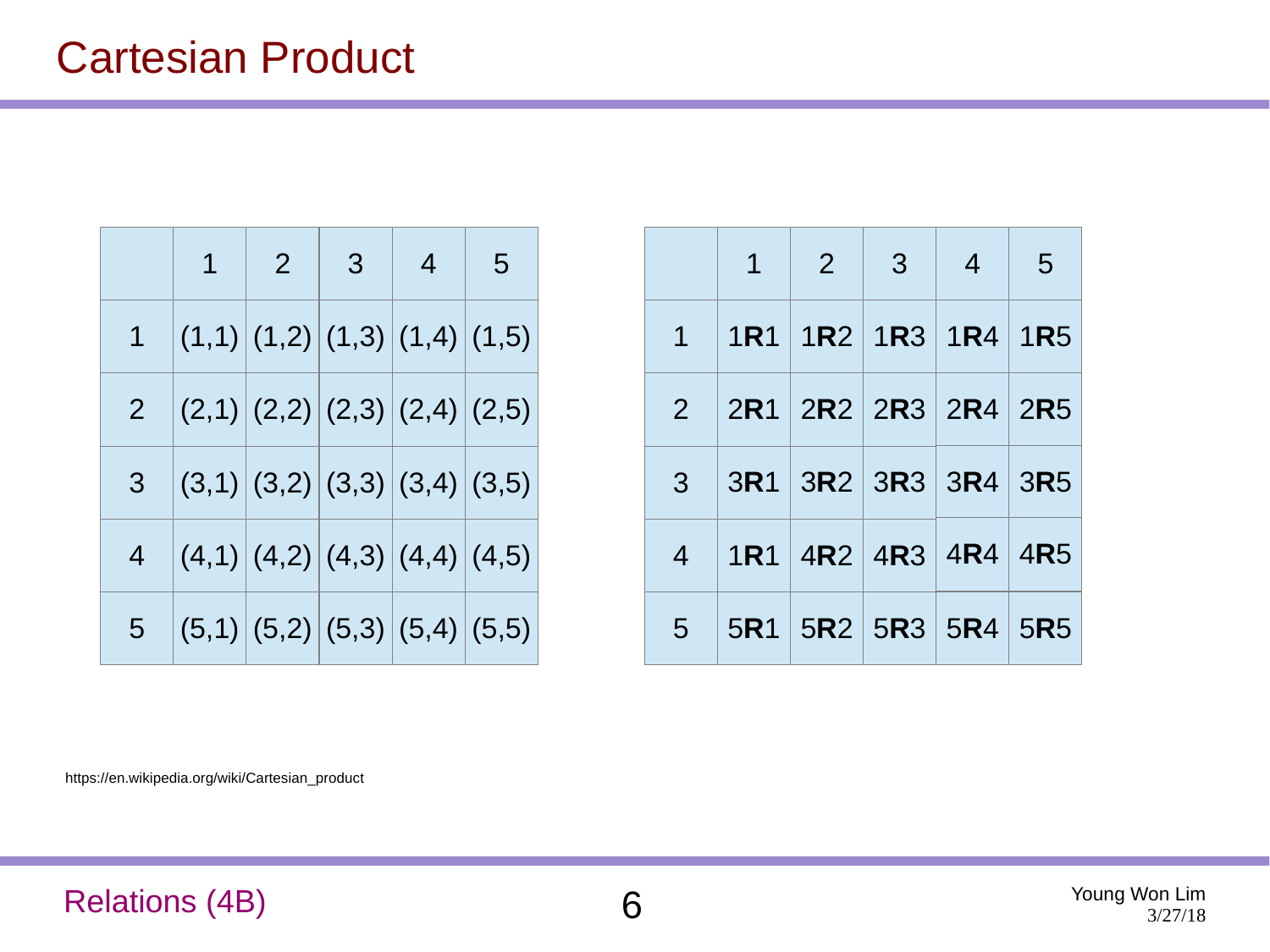#### Cartesian Product

|                | $1 \quad$ | $\begin{array}{ c c }$ 2 | $\mathbf{3}$                                    | $\overline{4}$ | $5\overline{)}$ |
|----------------|-----------|--------------------------|-------------------------------------------------|----------------|-----------------|
| 1              |           |                          | (1,1)   (1,2)   (1,3)   (1,4)   (1,5)           |                |                 |
| 2 <sup>7</sup> |           |                          | $(2,1)\big (2,2)\big (2,3)\big (2,4)\big (2,5)$ |                |                 |
| 3 <sup>1</sup> |           |                          | $(3,1)$ $(3,2)$ $(3,3)$ $(3,4)$ $(3,5)$         |                |                 |
| 4              |           |                          | $(4,1)$ $(4,2)$ $(4,3)$ $(4,4)$ $(4,5)$         |                |                 |
| 5              |           |                          | $(5,1)$ $(5,2)$ $(5,3)$ $(5,4)$ $(5,5)$         |                |                 |

|                                   | $1 \mid 2 \mid 3 \mid 4 \mid 5$ |  |
|-----------------------------------|---------------------------------|--|
| 1   IR1   IR2   IR3   IR4   IR5   |                                 |  |
| 2 $ 2R1 2R2 2R3 2R4 2R5 $         |                                 |  |
| $3$   3R1   3R2   3R3   3R4   3R5 |                                 |  |
| $4$   1R1   4R2   4R3   4R4   4R5 |                                 |  |
| $5$   5R1   5R2   5R3   5R4   5R5 |                                 |  |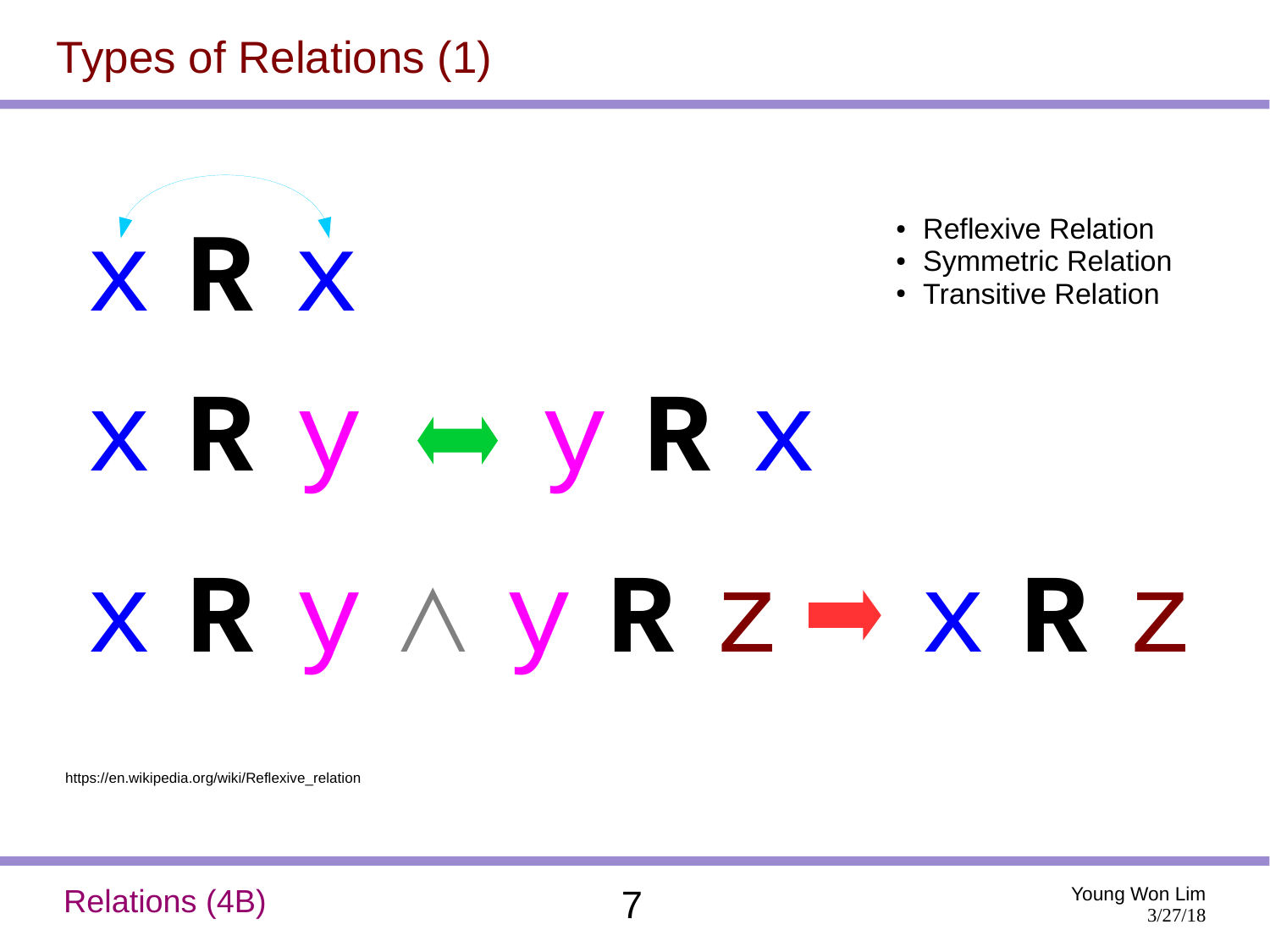## Types of Relations (1)



https://en.wikipedia.org/wiki/Reflexive\_relation

#### Relations (4B) 7

Young Won Lim 3/27/18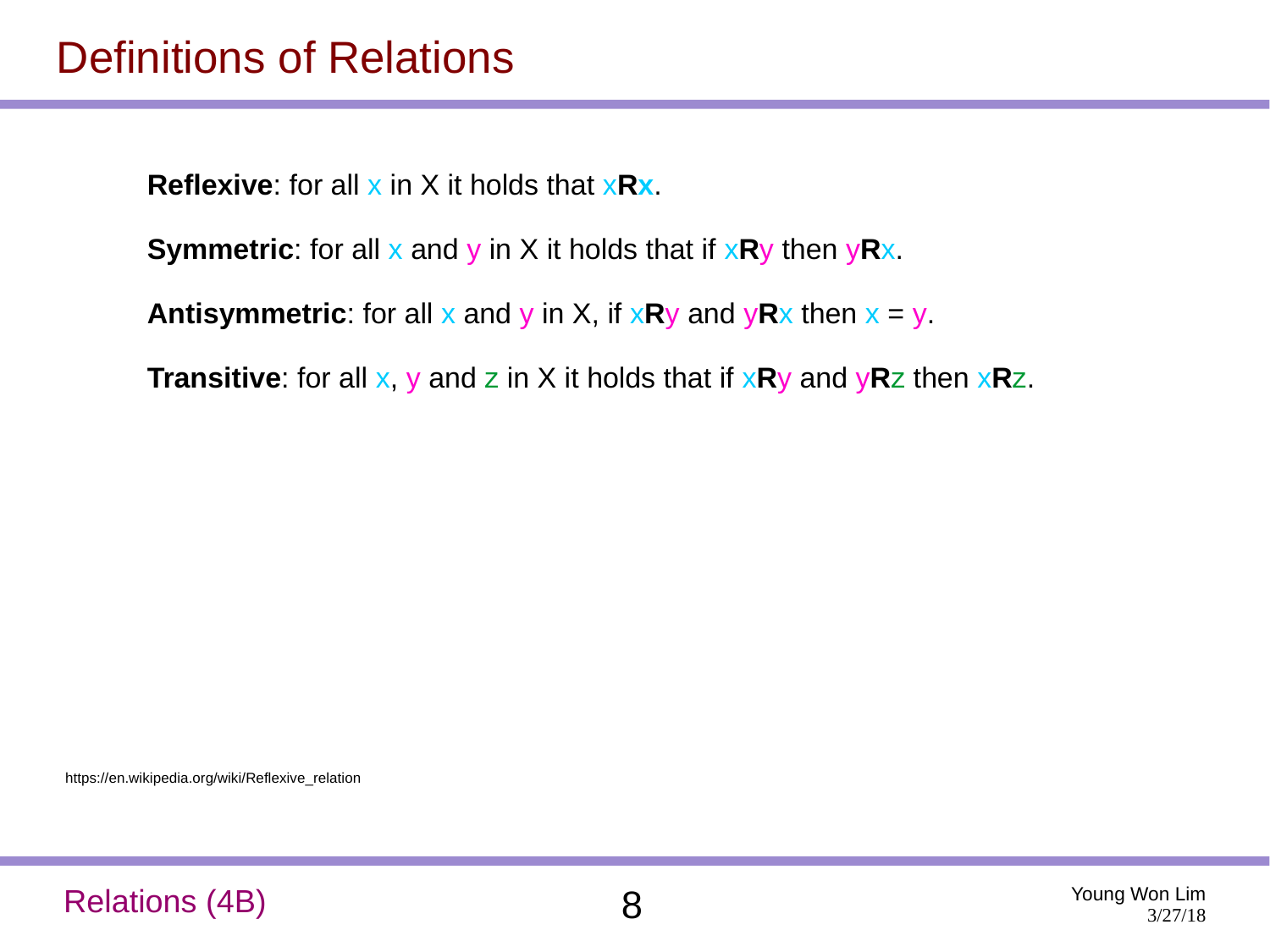#### Definitions of Relations

**Reflexive:** for all x in X it holds that x**Rx**.

```
Symmetric: for all x and y in X it holds that if xRy then yRx.
```
**Antisymmetric**: for all x and y in X, if  $xRy$  and  $yRx$  then  $x = y$ .

**Transitive**: for all x, y and z in X it holds that if x**R**y and y**R**z then x**R**z.

https://en.wikipedia.org/wiki/Reflexive\_relation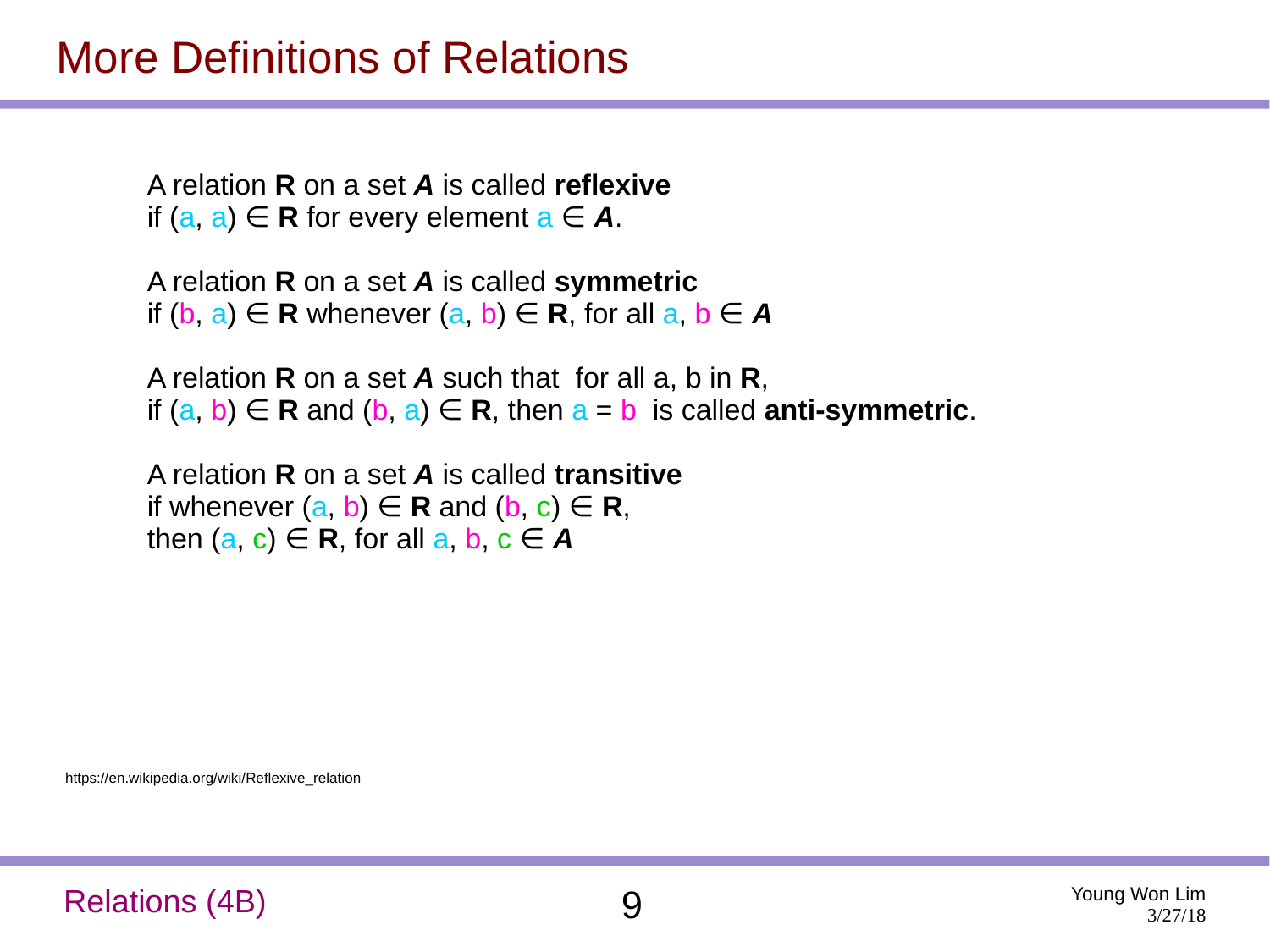#### More Definitions of Relations

A relation **R** on a set *A* is called **reflexive** if  $(a, a) \in \mathbb{R}$  for every element  $a \in \mathbb{A}$ .

A relation **R** on a set *A* is called **symmetric** if  $(b, a) \in \mathbb{R}$  whenever  $(a, b) \in \mathbb{R}$ , for all  $a, b \in \mathbb{A}$ 

A relation **R** on a set *A* such that for all a, b in **R**, if  $(a, b) \in \mathbb{R}$  and  $(b, a) \in \mathbb{R}$ , then  $a = b$  is called **anti-symmetric**.

A relation **R** on a set *A* is called **transitive** if whenever  $(a, b) \in \mathbb{R}$  and  $(b, c) \in \mathbb{R}$ , then  $(a, c) \in \mathbb{R}$ , for all  $a, b, c \in \mathbb{A}$ 

https://en.wikipedia.org/wiki/Reflexive\_relation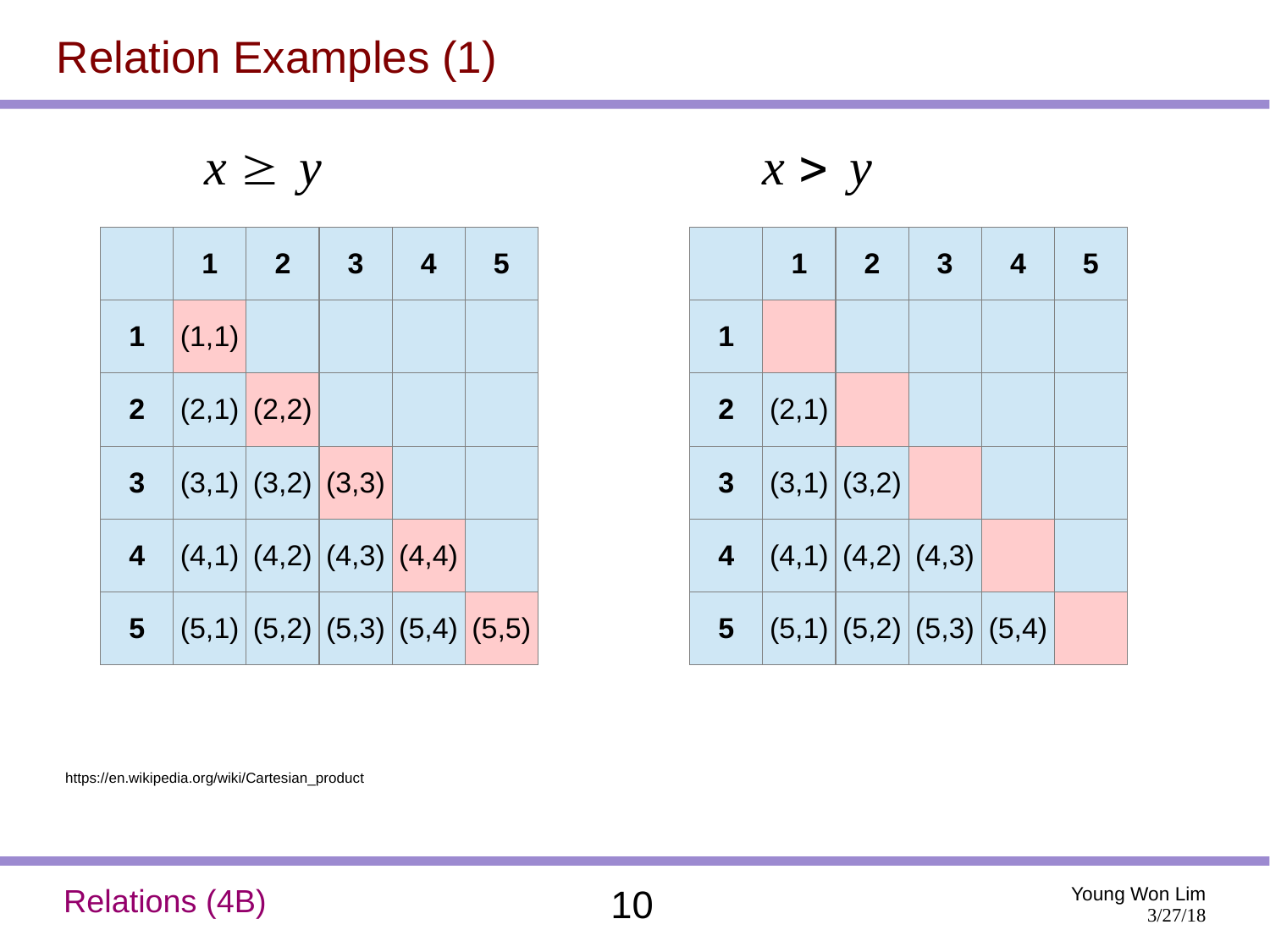## Relation Examples (1)

 $x \geq y$   $x > y$ 

|   | 1                       | $\mathbf{2}$                              | 3 | 4 | 5 |
|---|-------------------------|-------------------------------------------|---|---|---|
|   | $1 \quad (1,1)$         |                                           |   |   |   |
|   | <b>2</b> $ (2,1) (2,2)$ |                                           |   |   |   |
| 3 |                         | (3,1) (3,2) (3,3)                         |   |   |   |
| 4 |                         | (4,1) (4,2) (4,3) (4,4)                   |   |   |   |
|   |                         | <b>5</b> $ (5,1) (5,2) (5,3) (5,4) (5,5)$ |   |   |   |

|                         | 1                       | $\overline{2}$ | 3 | 4 | 5 |
|-------------------------|-------------------------|----------------|---|---|---|
| 1                       |                         |                |   |   |   |
|                         | <b>2</b> $ (2,1)$       |                |   |   |   |
| 3                       | (3,1) (3,2)             |                |   |   |   |
| $\overline{\mathbf{4}}$ | (4,1) (4,2) (4,3)       |                |   |   |   |
| 5 <sub>1</sub>          | (5,1) (5,2) (5,3) (5,4) |                |   |   |   |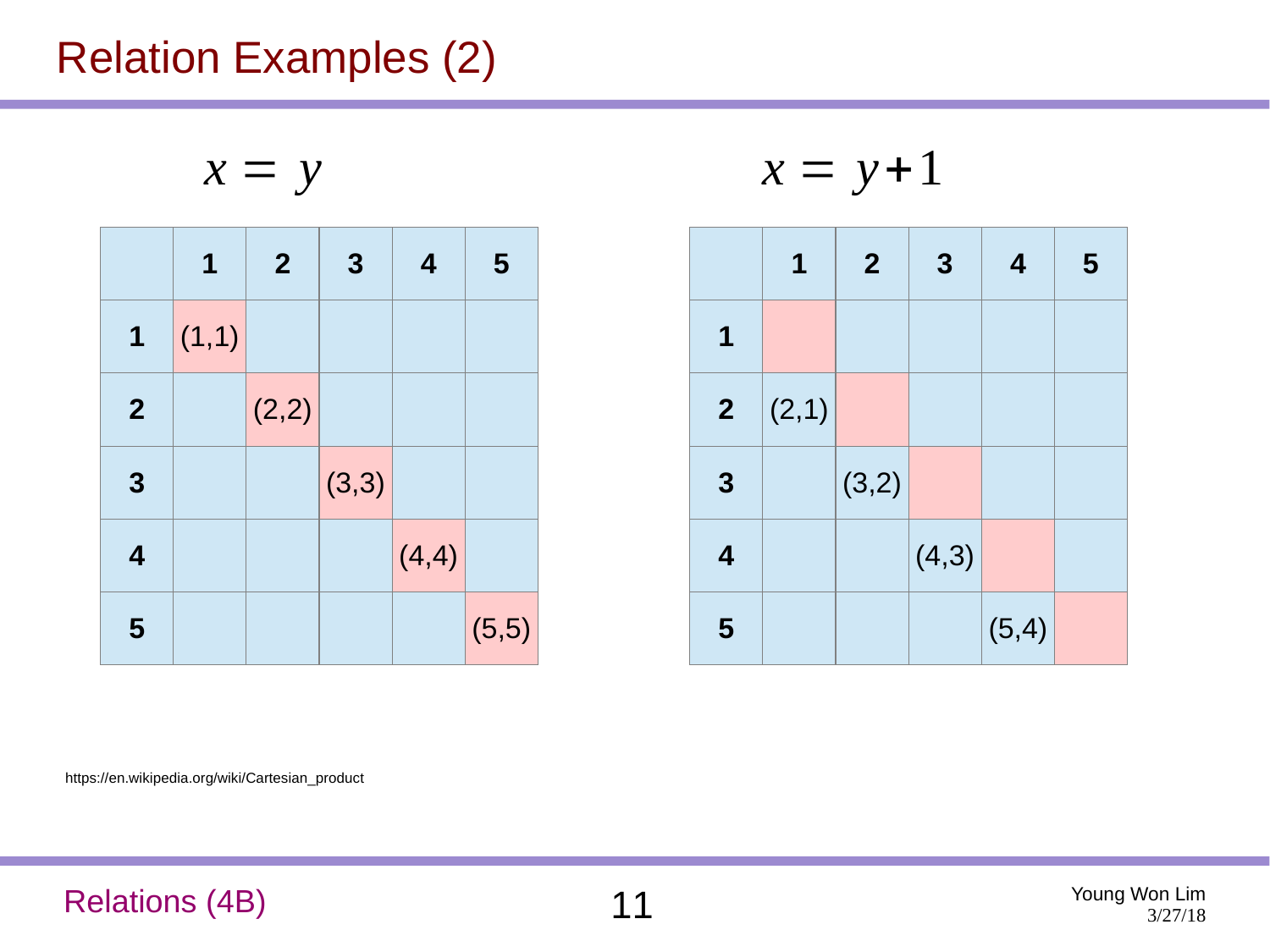## Relation Examples (2)

$$
x = y
$$

|                  | $\mathbf 1$ | $\mathbf{2}$ | 3     | 4     | 5     |
|------------------|-------------|--------------|-------|-------|-------|
| $\mathbf{1}$     | (1,1)       |              |       |       |       |
| $\overline{2}$   |             | (2,2)        |       |       |       |
| $\boldsymbol{3}$ |             |              | (3,3) |       |       |
| $\overline{4}$   |             |              |       | (4,4) |       |
| 5                |             |              |       |       | (5,5) |

$$
x = y \qquad \qquad x = y + 1
$$

|             | $\mathbf 1$       | 2 <sup>2</sup> | $\boldsymbol{3}$ | $\overline{\mathbf{4}}$ | 5 |
|-------------|-------------------|----------------|------------------|-------------------------|---|
| $\mathbf 1$ |                   |                |                  |                         |   |
|             | <b>2</b> $ (2,1)$ |                |                  |                         |   |
| 3           |                   | (3,2)          |                  |                         |   |
| 4           |                   |                | (4,3)            |                         |   |
| 5           |                   |                |                  | (5,4)                   |   |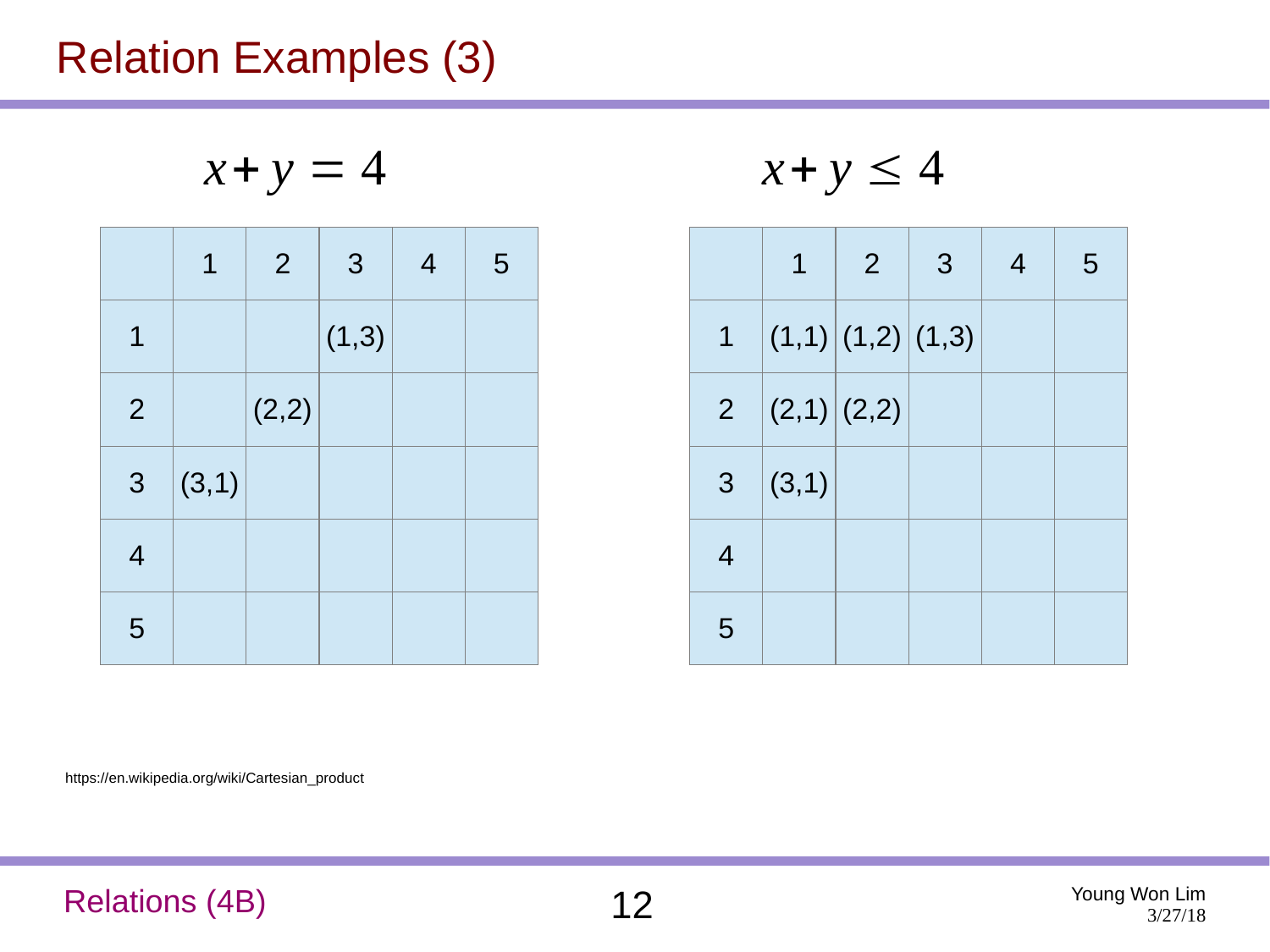## Relation Examples (3)

$$
x + y = 4 \qquad x + y \le 4
$$

|                | $\mathbf 1$ | $\overline{2}$ | 3     | $\overline{4}$ | 5 |
|----------------|-------------|----------------|-------|----------------|---|
| $\mathbf 1$    |             |                | (1,3) |                |   |
| $\overline{2}$ |             | (2,2)          |       |                |   |
| 3 <sup>7</sup> | (3,1)       |                |       |                |   |
| 4              |             |                |       |                |   |
| 5              |             |                |       |                |   |

$$
x + y \le 4
$$

|                | $\mathbf 1$          | $\overline{2}$ | 3 | $\overline{4}$ | 5 |
|----------------|----------------------|----------------|---|----------------|---|
|                | 1  (1,1) (1,2) (1,3) |                |   |                |   |
|                | 2 $ (2,1) (2,2)$     |                |   |                |   |
| 3 <sup>7</sup> | (3,1)                |                |   |                |   |
| 4              |                      |                |   |                |   |
| 5              |                      |                |   |                |   |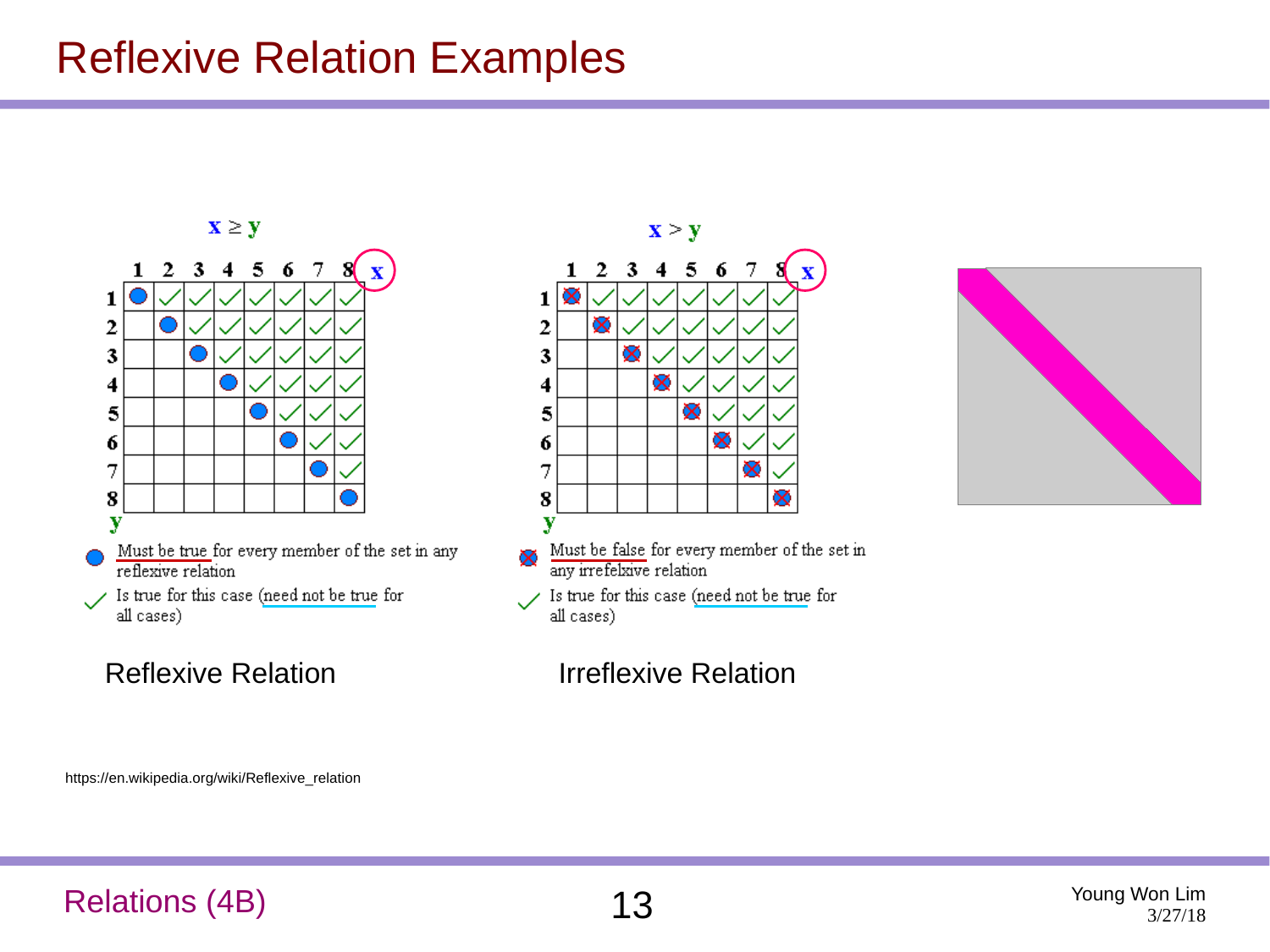#### Reflexive Relation Examples



Is true for this case (need not be true for  $\checkmark$ all cases)



#### Reflexive Relation **Irreflexive Relation**



https://en.wikipedia.org/wiki/Reflexive\_relation

#### Relations (4B) 13 Young Won Lim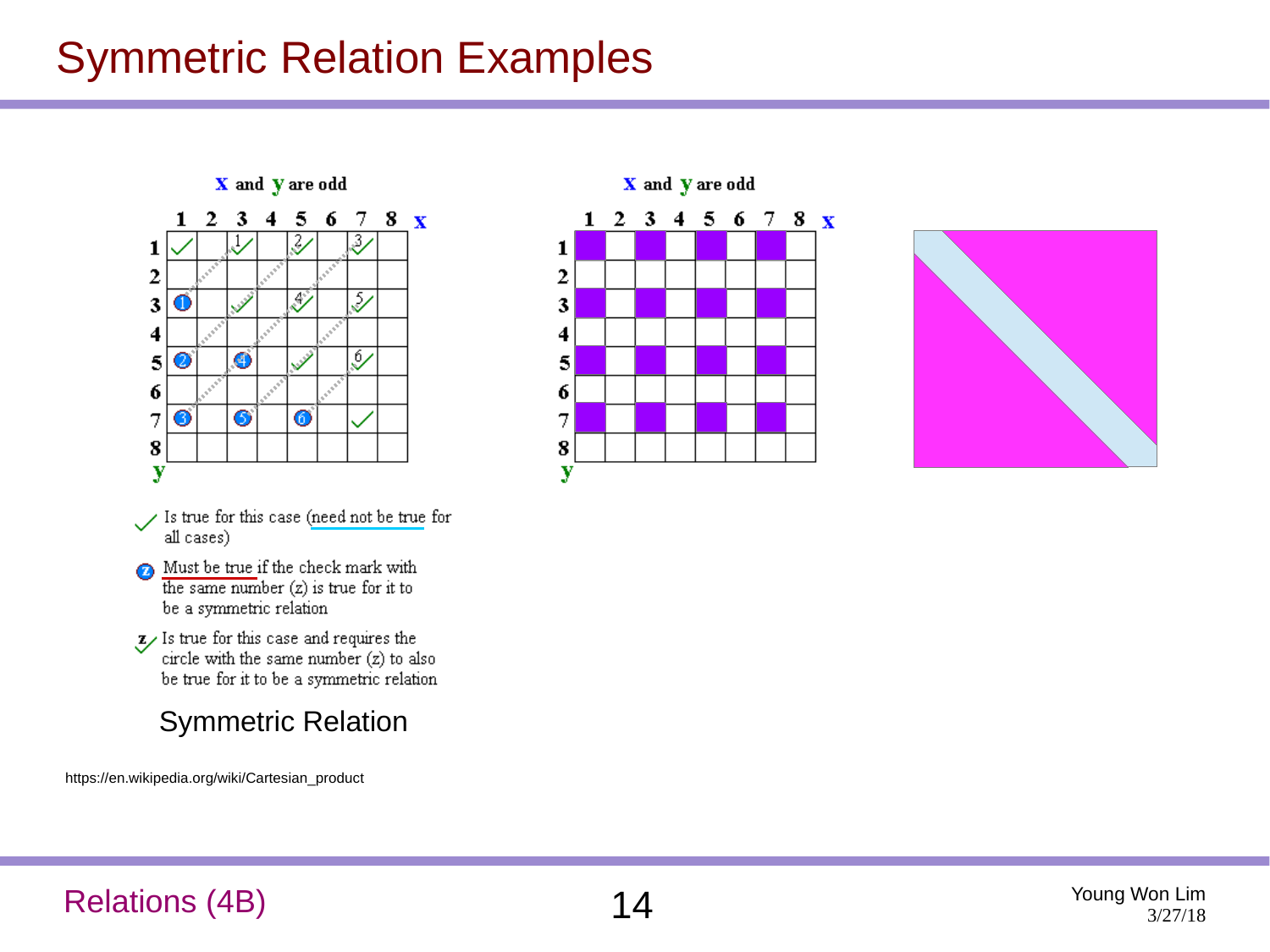## Symmetric Relation Examples

X and Y are odd



- Is true for this case (need not be true for all cases)
- Must be true if the check mark with the same number  $(z)$  is true for it to be a symmetric relation
- $z$  Is true for this case and requires the circle with the same number (z) to also be true for it to be a symmetric relation
	- Symmetric Relation

https://en.wikipedia.org/wiki/Cartesian\_product





#### Relations (4B)  $14$  Young Won Lim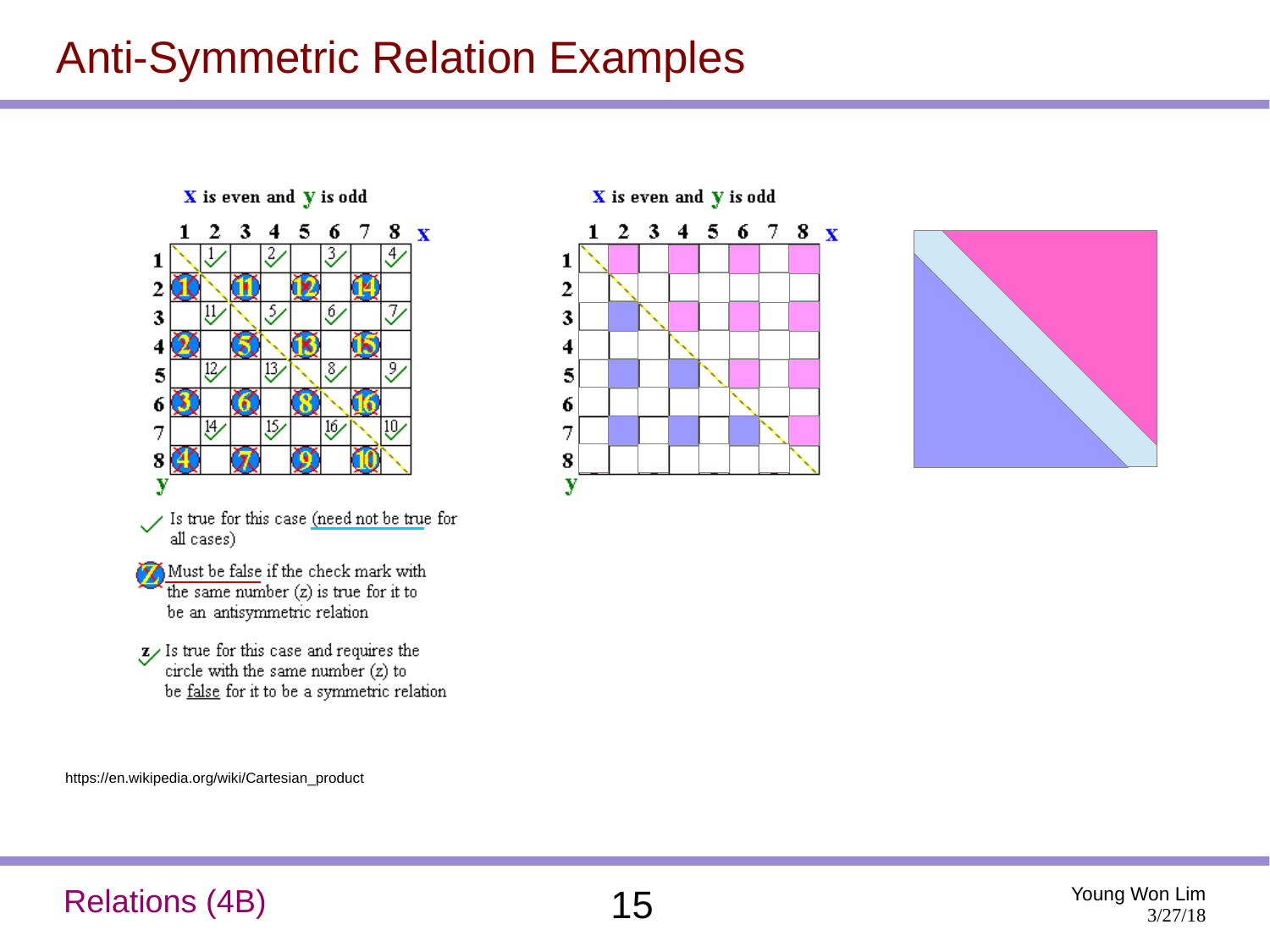## Anti-Symmetric Relation Examples



X is even and Y is odd





https://en.wikipedia.org/wiki/Cartesian\_product

#### Relations (4B) 15 Young Won Lim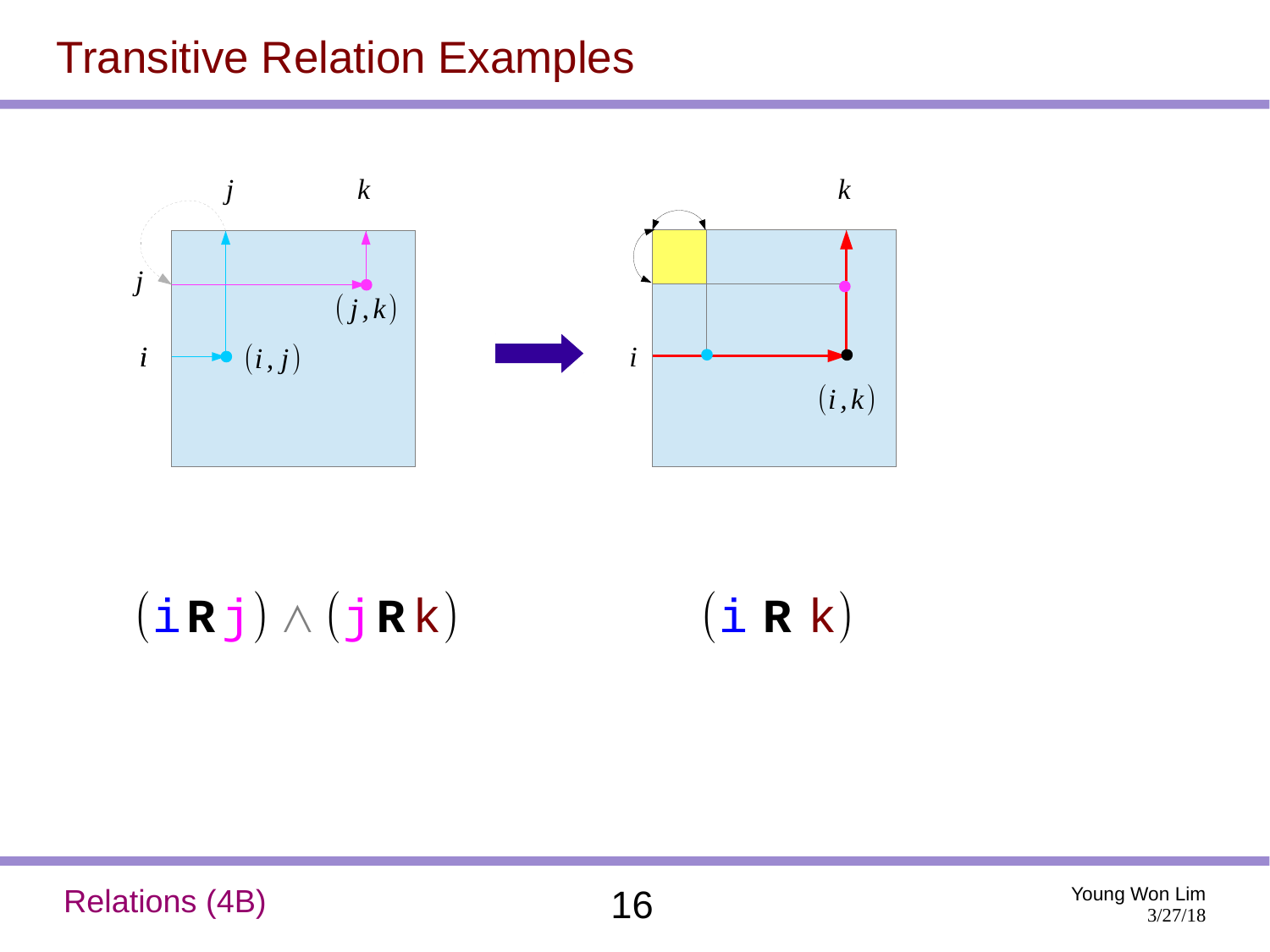#### Transitive Relation Examples



(i**R**j) ∧ (j**R** k) (i **R** k)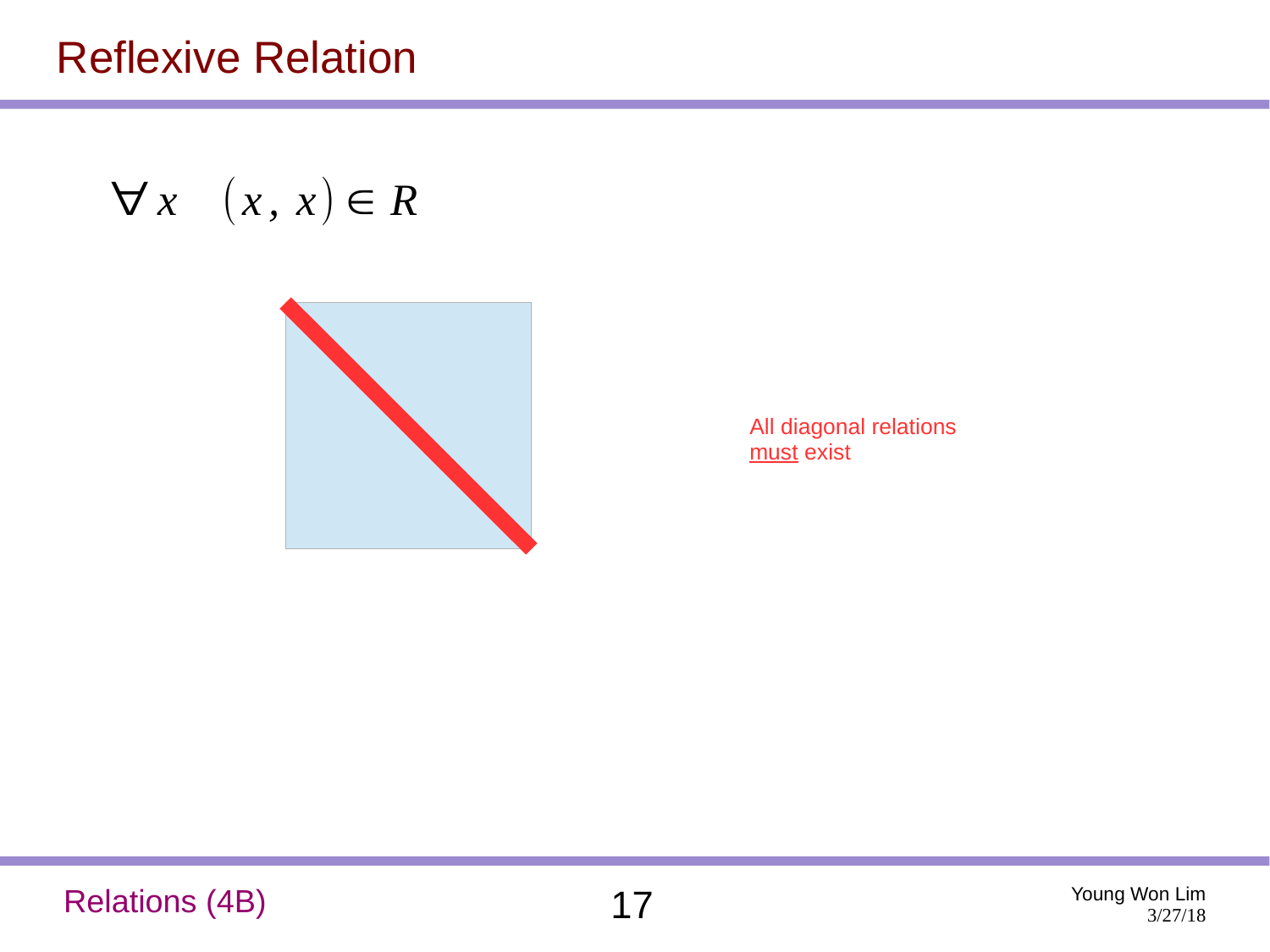#### Reflexive Relation

## $\forall x \quad (x, x) \in R$



All diagonal relations must exist

#### Relations (4B) 17 Young Won Lim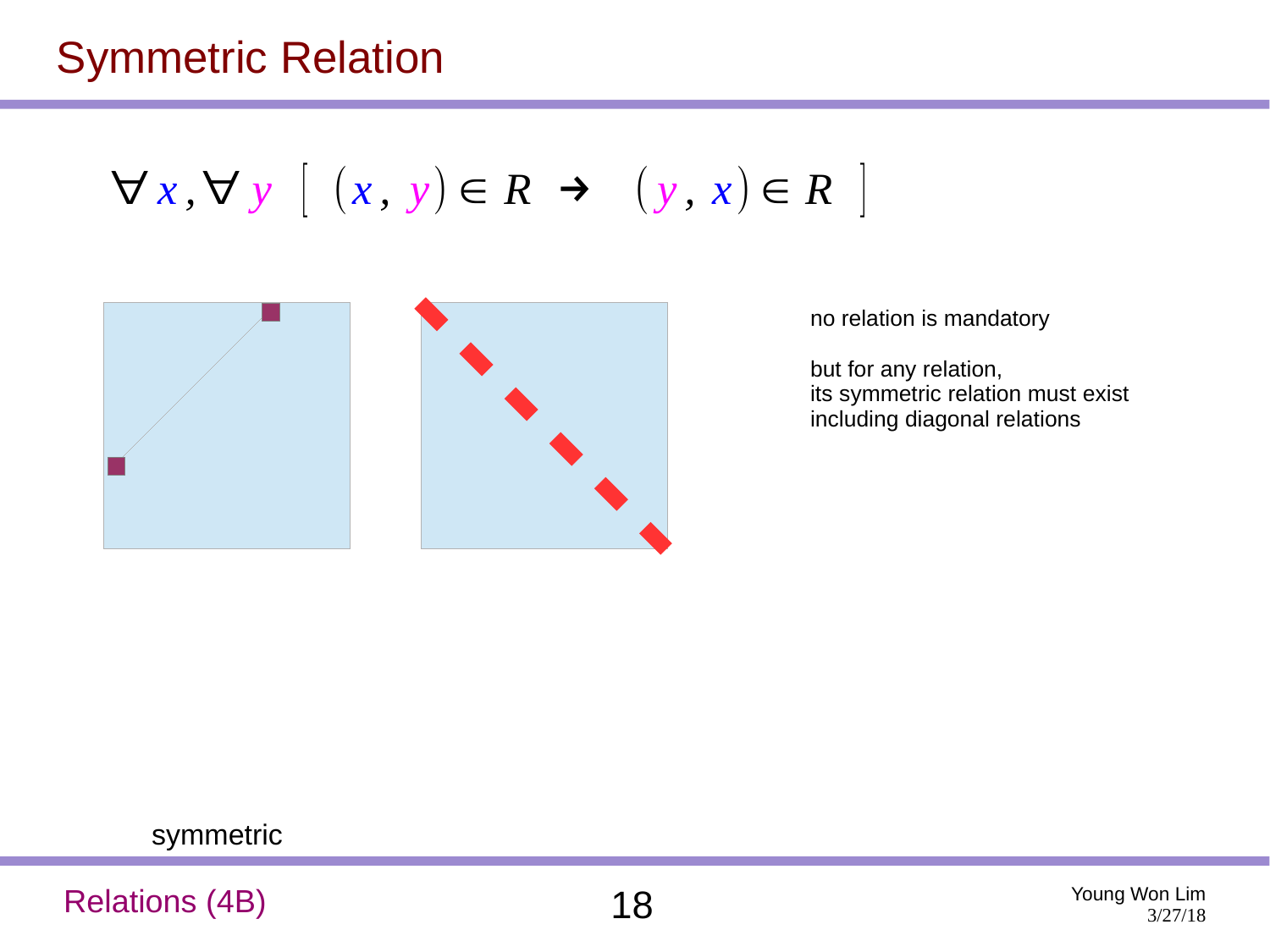## Symmetric Relation

 $\forall x, \forall y \ [ (x, y) \in R \rightarrow (y, x) \in R ]$ 



no relation is mandatory

but for any relation, its symmetric relation must exist including diagonal relations

symmetric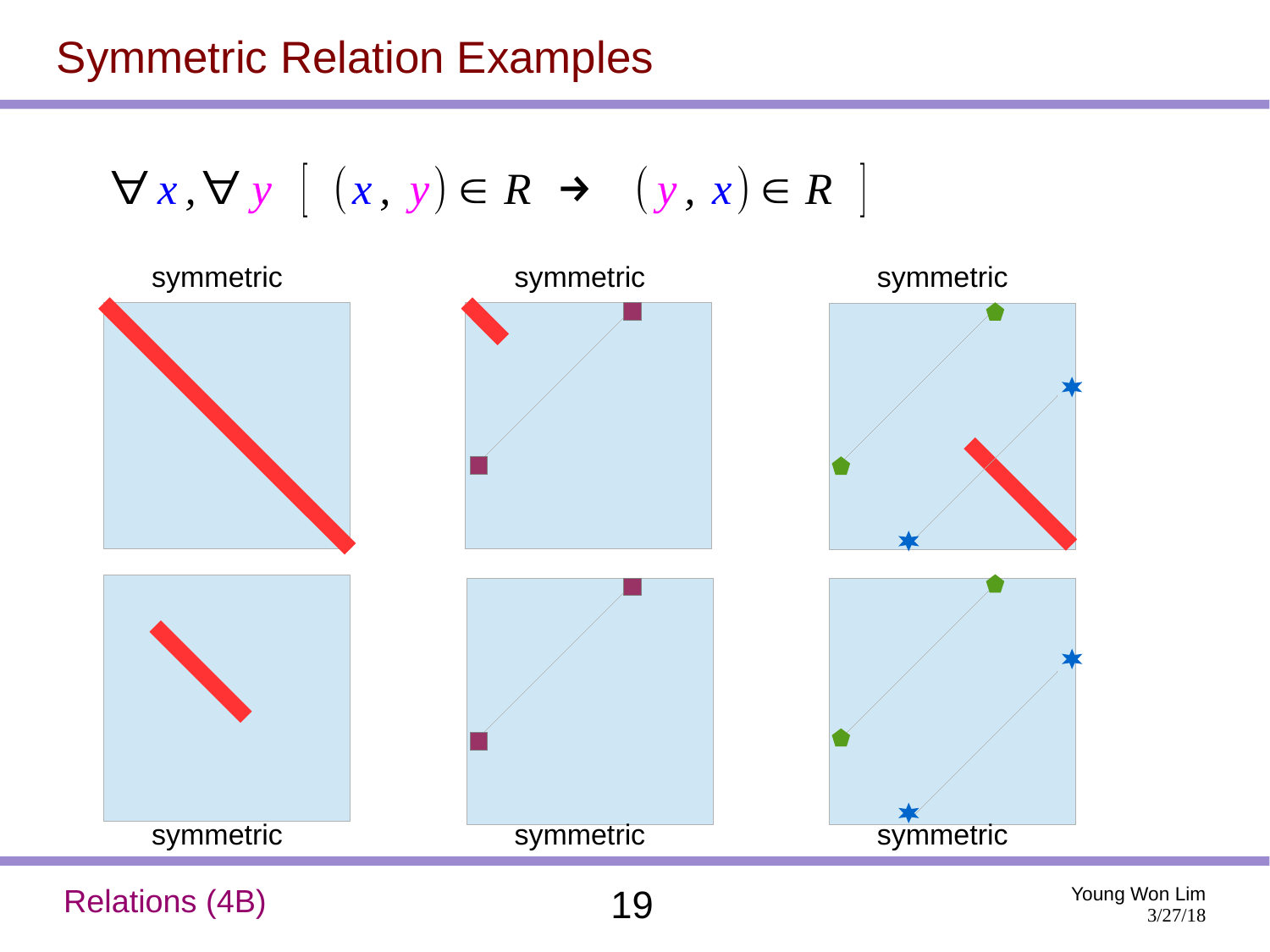## Symmetric Relation Examples

$$
\forall x, \forall y \ [ (x, y) \in R \rightarrow (y, x) \in R ]
$$



Relations (4B) 19 Young Won Lim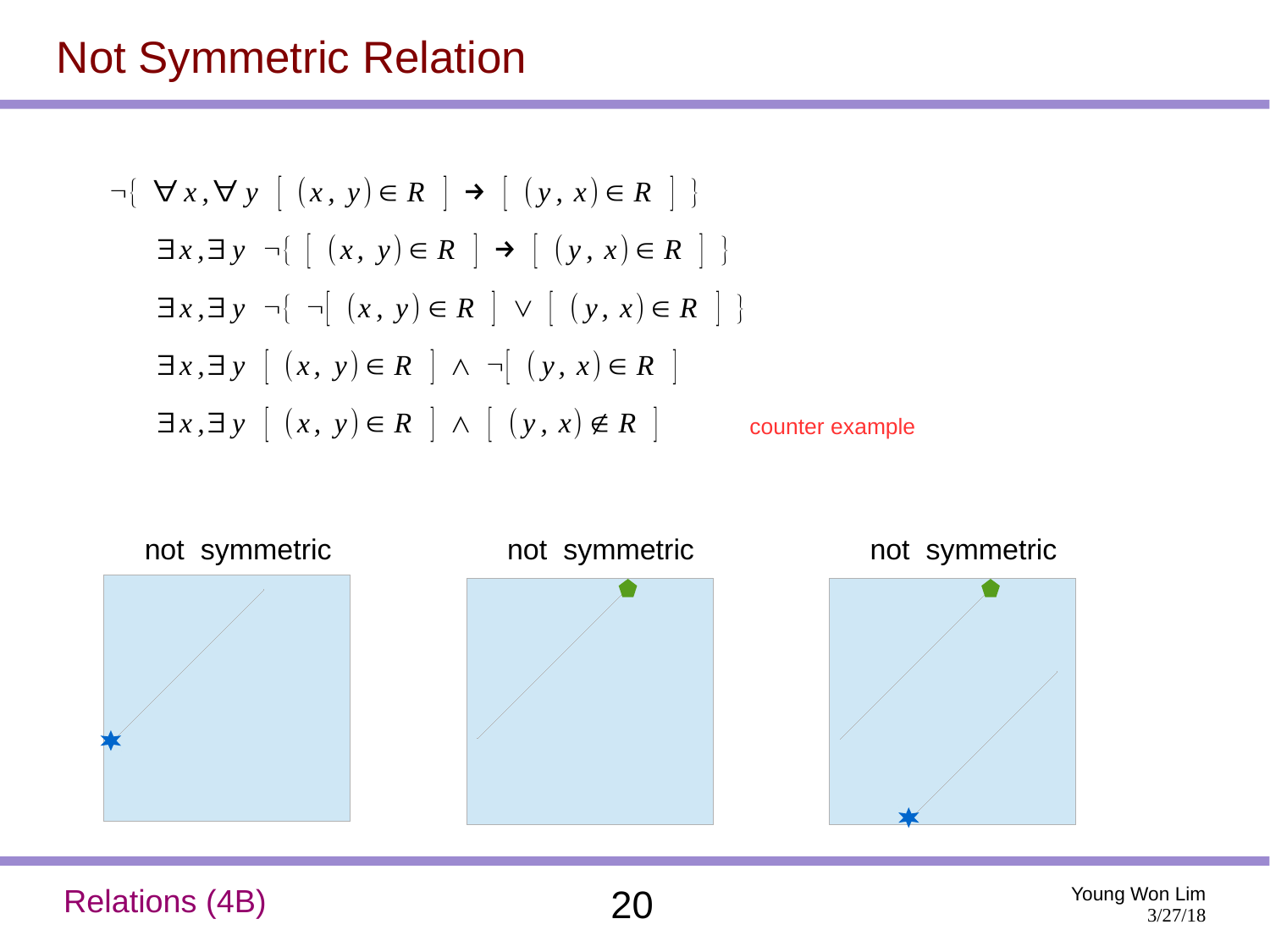#### Not Symmetric Relation

$$
\neg \{ \forall x, \forall y \mid (x, y) \in R \} \rightarrow \{ (y, x) \in R \} \}
$$
\n
$$
\exists x, \exists y \neg \{ \mid (x, y) \in R \} \rightarrow \{ (y, x) \in R \} \}
$$
\n
$$
\exists x, \exists y \neg \{ \neg \{ (x, y) \in R \} \lor \{ (y, x) \in R \} \}
$$
\n
$$
\exists x, \exists y \mid (x, y) \in R \} \land \neg \{ (y, x) \in R \} \}
$$
\n
$$
\exists x, \exists y \mid (x, y) \in R \} \land \neg \{ (y, x) \notin R \} \text{ counter example}
$$



Relations (4B) 20 Young Won Lim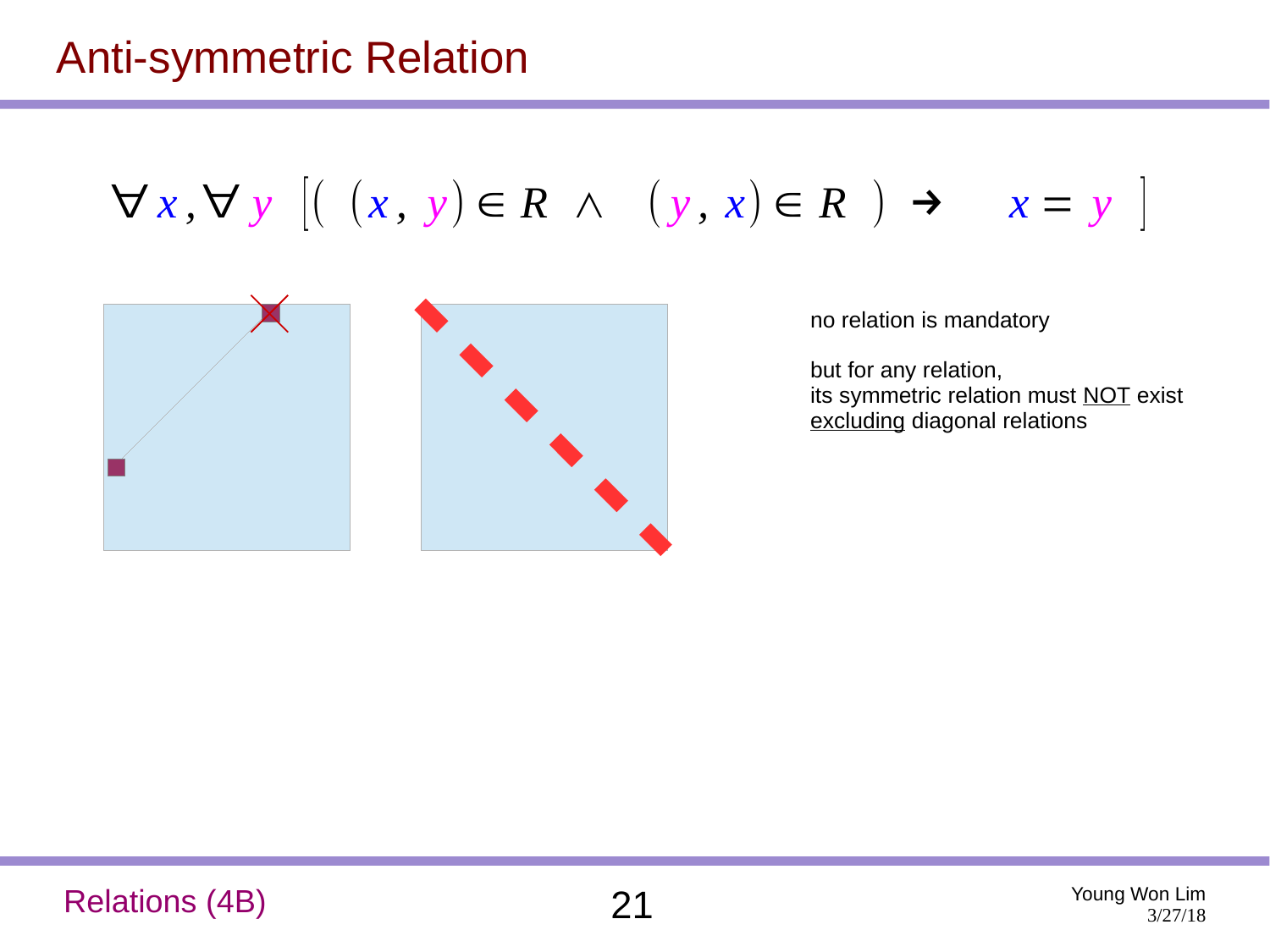## Anti-symmetric Relation

 $\forall x, \forall y$   $[(x, y) \in R \land (y, x) \in R) \rightarrow x = y$ 



no relation is mandatory

but for any relation, its symmetric relation must NOT exist excluding diagonal relations

#### Relations (4B) 21 Young Won Lim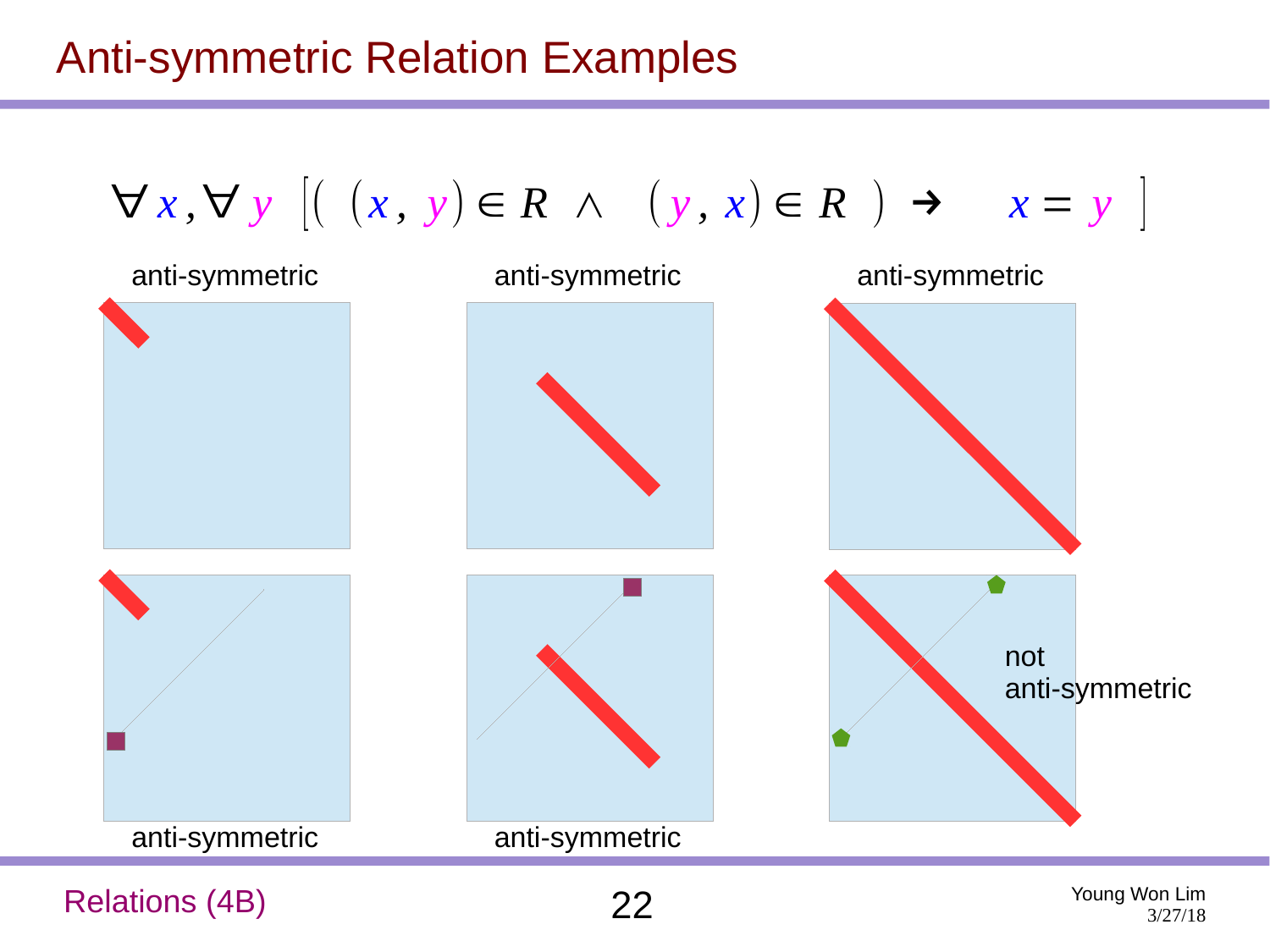## Anti-symmetric Relation Examples



Relations (4B) 22 Young Won Lim

3/27/18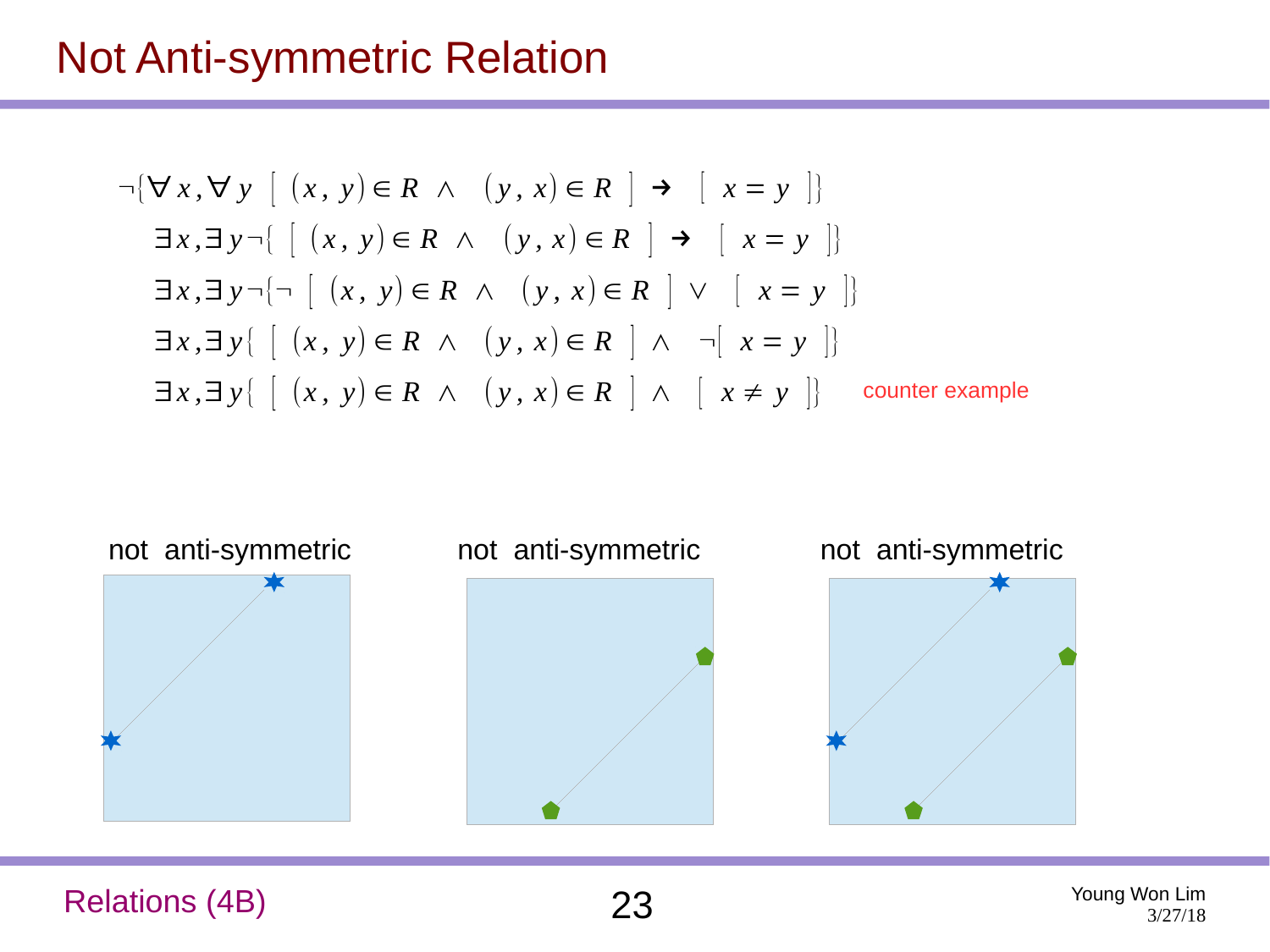#### Not Anti-symmetric Relation

$$
\neg \{\forall x, \forall y \ [ (x, y) \in R \land (y, x) \in R] \rightarrow [ x = y ]\}
$$
  
\n
$$
\exists x, \exists y \neg \{ [(x, y) \in R \land (y, x) \in R] \rightarrow [ x = y ]\}
$$
  
\n
$$
\exists x, \exists y \neg \{ \neg \ [ (x, y) \in R \land (y, x) \in R] \lor [ x = y ]\}
$$
  
\n
$$
\exists x, \exists y \{ [(x, y) \in R \land (y, x) \in R] \land \neg [ x = y ]\}
$$
  
\n
$$
\exists x, \exists y \{ [(x, y) \in R \land (y, x) \in R] \land [ x \neq y ]\}
$$
 counter example



Relations (4B) 23 Young Won Lim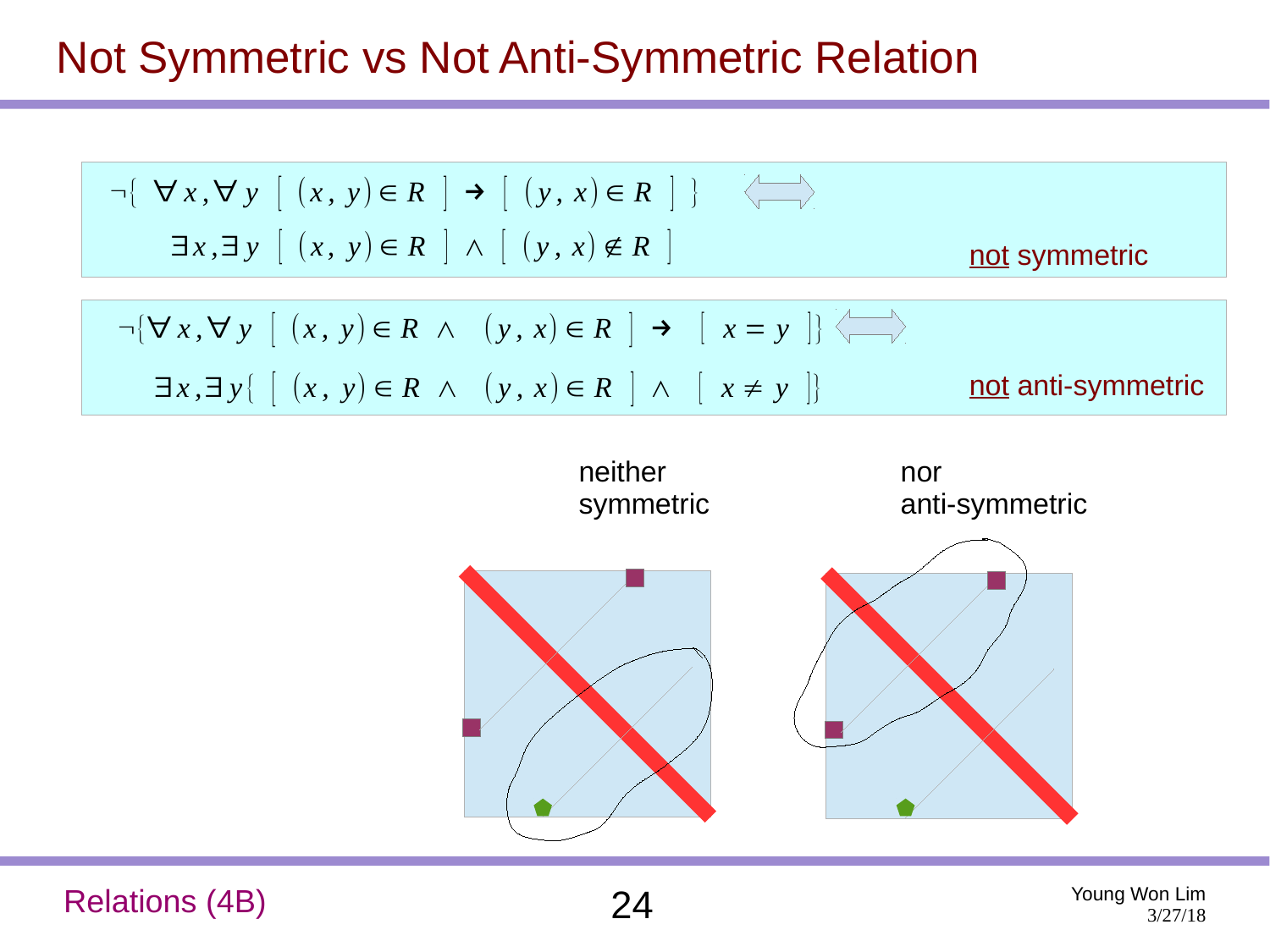## Not Symmetric vs Not Anti-Symmetric Relation

$$
\neg \{ \forall x, \forall y \ [ (x, y) \in R \ ] \rightarrow [ (y, x) \in R \ ] \}
$$
\n
$$
\exists x, \exists y \ [ (x, y) \in R \ ] \land [ (y, x) \notin R \ ]
$$
\n
$$
\neg \{ \forall x, \forall y \ [ (x, y) \in R \land (y, x) \in R \ ] \rightarrow [ x = y ] \}
$$
\n
$$
\exists x, \exists y \{ [ (x, y) \in R \land (y, x) \in R \ ] \land [ x \neq y ] \}
$$
\nnot anti-symmetric



Relations (4B) 24 Young Won Lim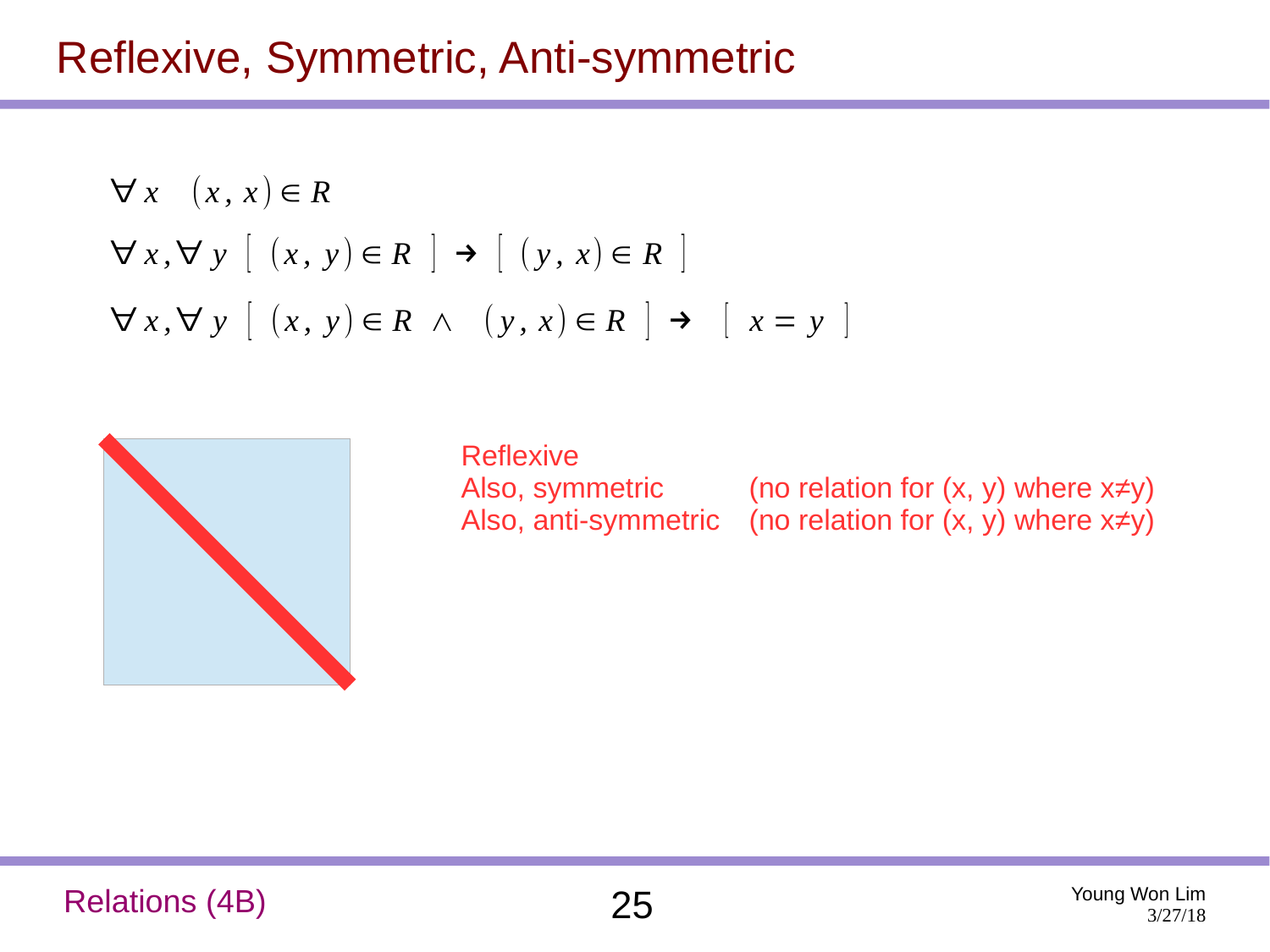## Reflexive, Symmetric, Anti-symmetric

$$
\forall x \ (x, x) \in R
$$
  

$$
\forall x, \forall y \ [ (x, y) \in R ] \rightarrow [ (y, x) \in R ]
$$
  

$$
\forall x, \forall y \ [ (x, y) \in R \land (y, x) \in R ] \rightarrow [ x = y ]
$$



| <b>Reflexive</b> |                                                                   |
|------------------|-------------------------------------------------------------------|
| Also, symmetric  | (no relation for $(x, y)$ where $x \neq y$ )                      |
|                  | Also, anti-symmetric (no relation for $(x, y)$ where $x \neq y$ ) |

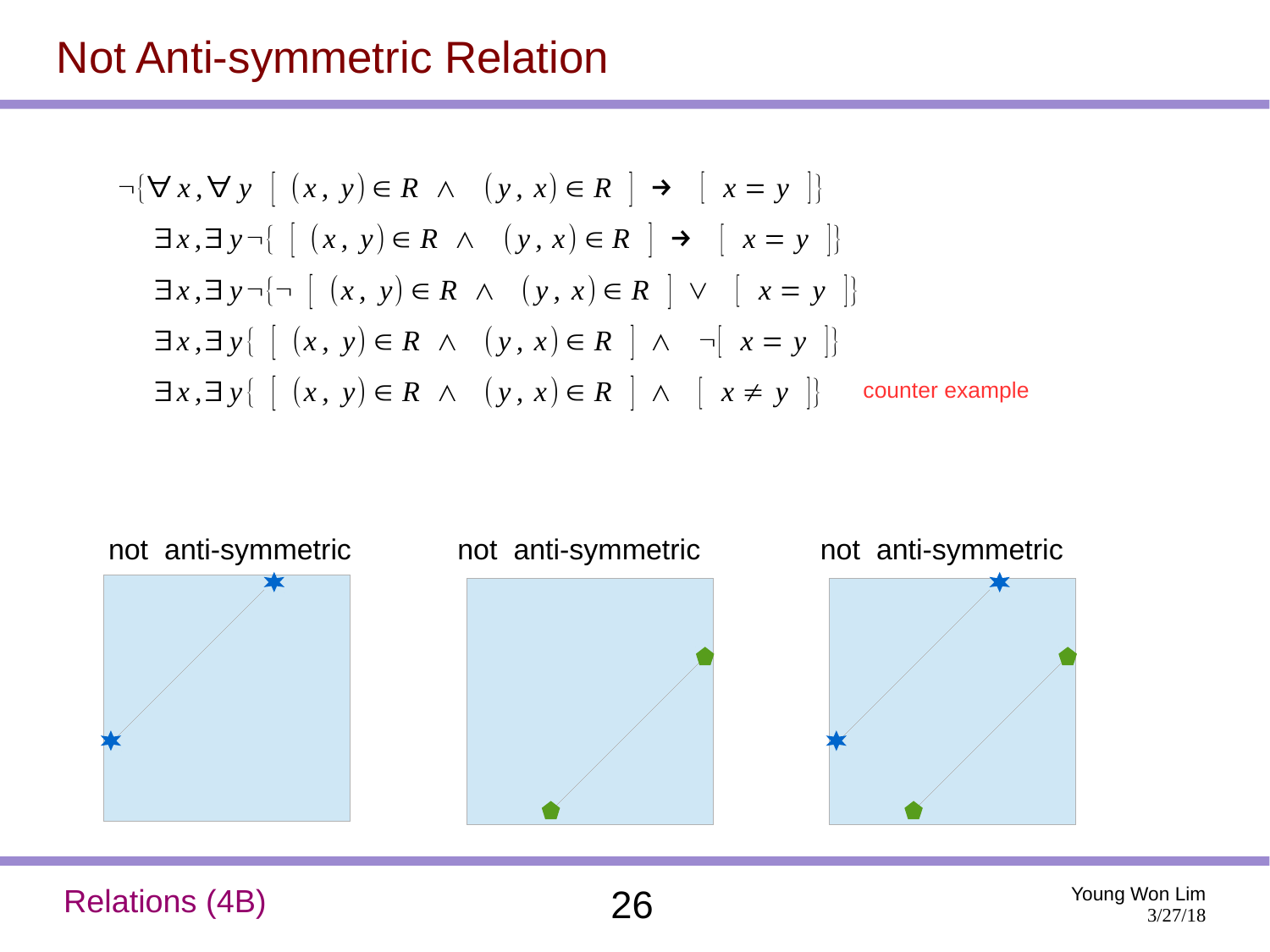#### Not Anti-symmetric Relation

$$
\neg \{\forall x, \forall y \ [ (x, y) \in R \land (y, x) \in R] \rightarrow [ x = y ]\}
$$
  
\n
$$
\exists x, \exists y \neg \{ [(x, y) \in R \land (y, x) \in R] \rightarrow [ x = y ]\}
$$
  
\n
$$
\exists x, \exists y \neg \{ \neg \ [ (x, y) \in R \land (y, x) \in R] \lor [ x = y ]\}
$$
  
\n
$$
\exists x, \exists y \{ [(x, y) \in R \land (y, x) \in R] \land \neg [ x = y ]\}
$$
  
\n
$$
\exists x, \exists y \{ [(x, y) \in R \land (y, x) \in R] \land [ x \neq y ]\}
$$
 counter example



Relations (4B) 26 Young Won Lim

3/27/18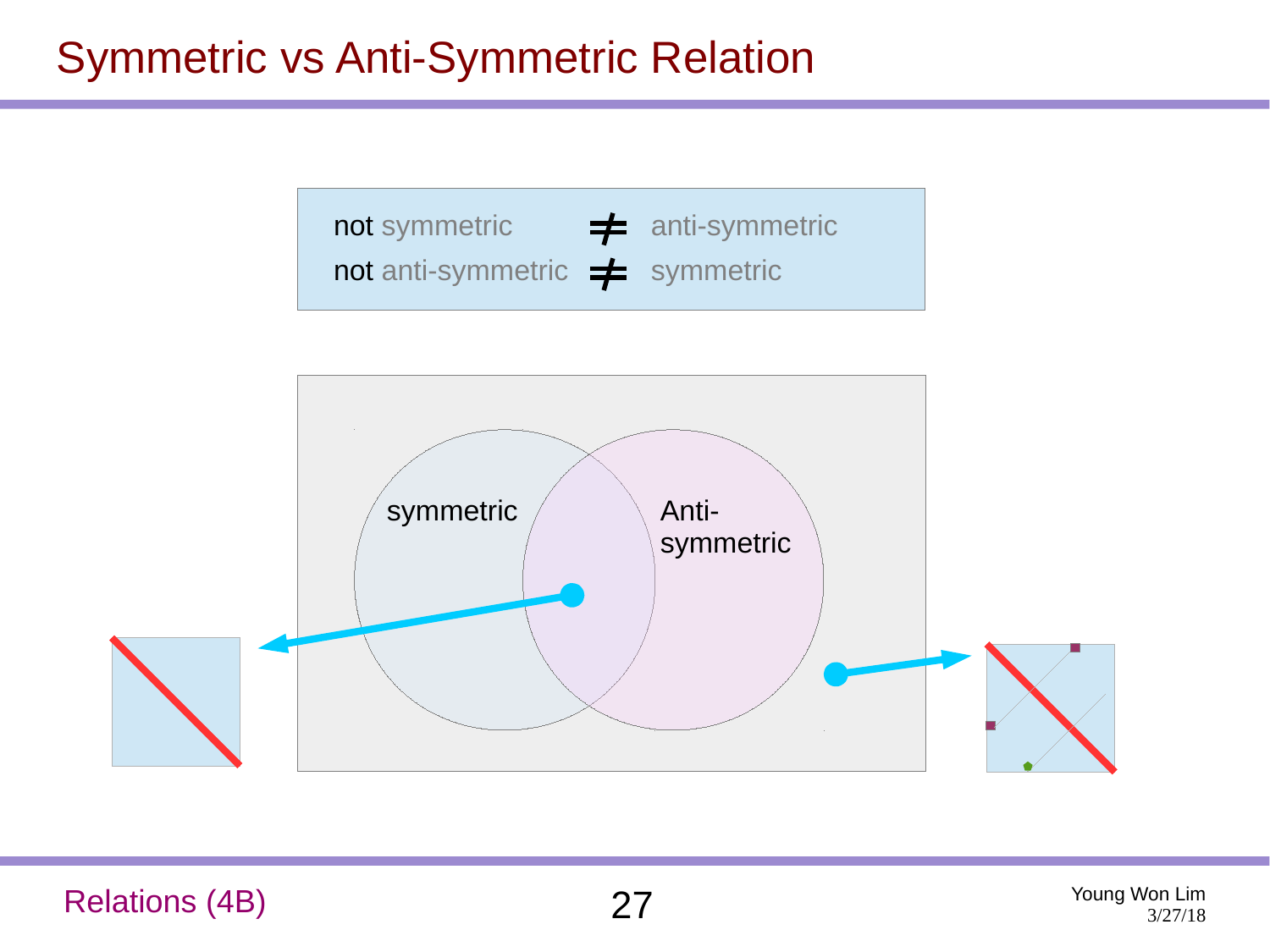## Symmetric vs Anti-Symmetric Relation

not symmetric  $\rightarrow$  anti-symmetric not anti-symmetric  $\neq$  symmetric



Relations (4B) 27 Young Won Lim